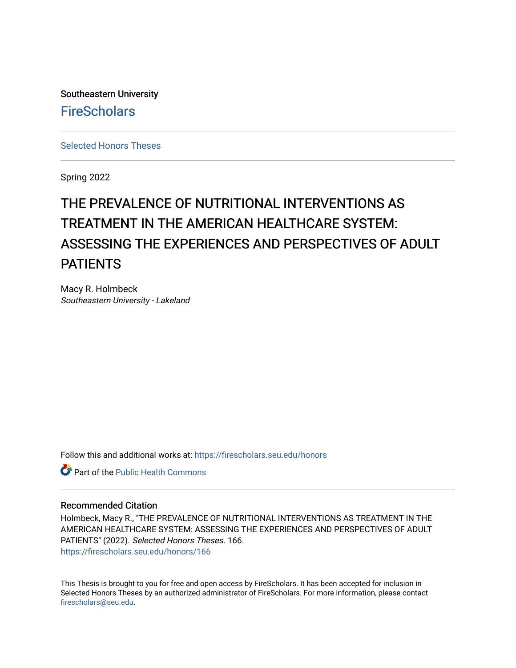Southeastern University **FireScholars** 

[Selected Honors Theses](https://firescholars.seu.edu/honors)

Spring 2022

# THE PREVALENCE OF NUTRITIONAL INTERVENTIONS AS TREATMENT IN THE AMERICAN HEALTHCARE SYSTEM: ASSESSING THE EXPERIENCES AND PERSPECTIVES OF ADULT **PATIENTS**

Macy R. Holmbeck Southeastern University - Lakeland

Follow this and additional works at: [https://firescholars.seu.edu/honors](https://firescholars.seu.edu/honors?utm_source=firescholars.seu.edu%2Fhonors%2F166&utm_medium=PDF&utm_campaign=PDFCoverPages)

**C** Part of the Public Health Commons

#### Recommended Citation

Holmbeck, Macy R., "THE PREVALENCE OF NUTRITIONAL INTERVENTIONS AS TREATMENT IN THE AMERICAN HEALTHCARE SYSTEM: ASSESSING THE EXPERIENCES AND PERSPECTIVES OF ADULT PATIENTS" (2022). Selected Honors Theses. 166. [https://firescholars.seu.edu/honors/166](https://firescholars.seu.edu/honors/166?utm_source=firescholars.seu.edu%2Fhonors%2F166&utm_medium=PDF&utm_campaign=PDFCoverPages)

This Thesis is brought to you for free and open access by FireScholars. It has been accepted for inclusion in Selected Honors Theses by an authorized administrator of FireScholars. For more information, please contact [firescholars@seu.edu.](mailto:firescholars@seu.edu)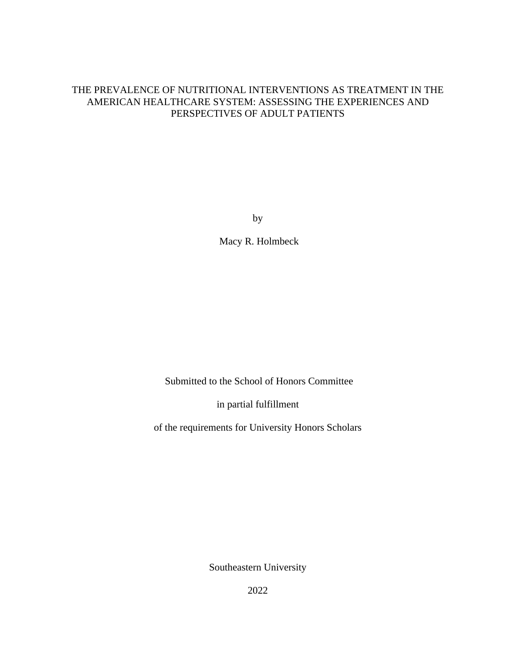## THE PREVALENCE OF NUTRITIONAL INTERVENTIONS AS TREATMENT IN THE AMERICAN HEALTHCARE SYSTEM: ASSESSING THE EXPERIENCES AND PERSPECTIVES OF ADULT PATIENTS

by

Macy R. Holmbeck

Submitted to the School of Honors Committee

in partial fulfillment

of the requirements for University Honors Scholars

Southeastern University

2022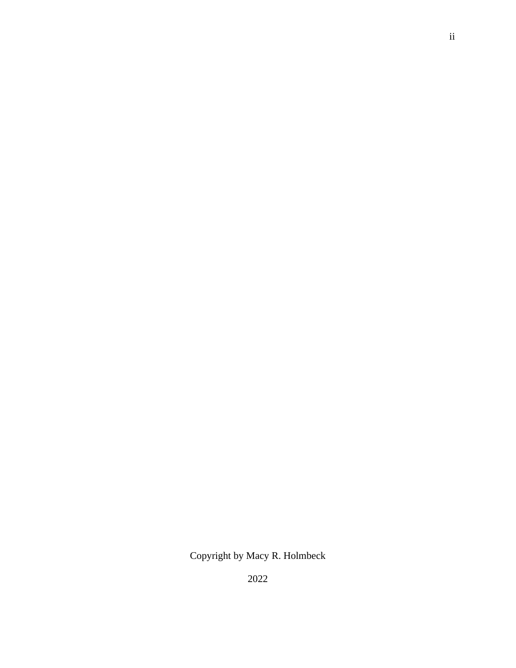Copyright by Macy R. Holmbeck

2022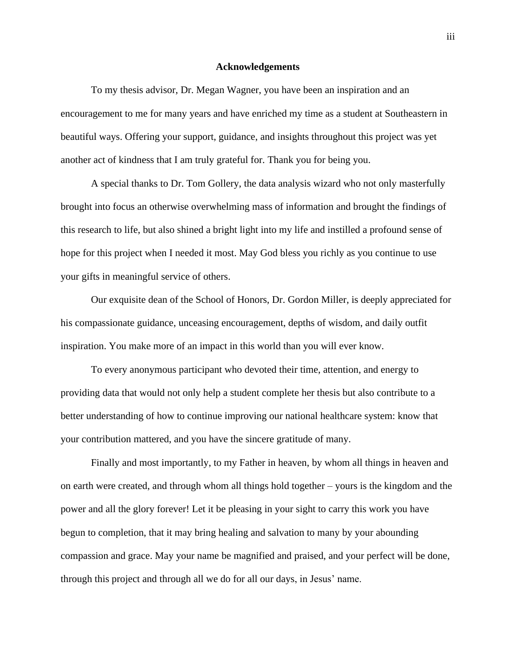#### **Acknowledgements**

To my thesis advisor, Dr. Megan Wagner, you have been an inspiration and an encouragement to me for many years and have enriched my time as a student at Southeastern in beautiful ways. Offering your support, guidance, and insights throughout this project was yet another act of kindness that I am truly grateful for. Thank you for being you.

A special thanks to Dr. Tom Gollery, the data analysis wizard who not only masterfully brought into focus an otherwise overwhelming mass of information and brought the findings of this research to life, but also shined a bright light into my life and instilled a profound sense of hope for this project when I needed it most. May God bless you richly as you continue to use your gifts in meaningful service of others.

Our exquisite dean of the School of Honors, Dr. Gordon Miller, is deeply appreciated for his compassionate guidance, unceasing encouragement, depths of wisdom, and daily outfit inspiration. You make more of an impact in this world than you will ever know.

To every anonymous participant who devoted their time, attention, and energy to providing data that would not only help a student complete her thesis but also contribute to a better understanding of how to continue improving our national healthcare system: know that your contribution mattered, and you have the sincere gratitude of many.

Finally and most importantly, to my Father in heaven, by whom all things in heaven and on earth were created, and through whom all things hold together – yours is the kingdom and the power and all the glory forever! Let it be pleasing in your sight to carry this work you have begun to completion, that it may bring healing and salvation to many by your abounding compassion and grace. May your name be magnified and praised, and your perfect will be done, through this project and through all we do for all our days, in Jesus' name.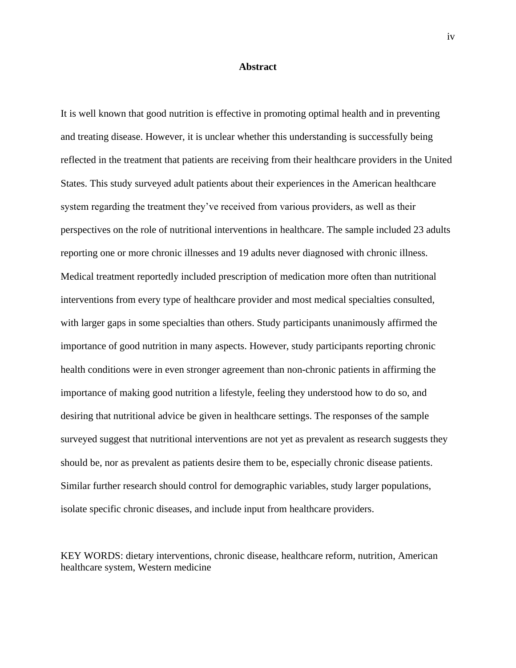#### **Abstract**

It is well known that good nutrition is effective in promoting optimal health and in preventing and treating disease. However, it is unclear whether this understanding is successfully being reflected in the treatment that patients are receiving from their healthcare providers in the United States. This study surveyed adult patients about their experiences in the American healthcare system regarding the treatment they've received from various providers, as well as their perspectives on the role of nutritional interventions in healthcare. The sample included 23 adults reporting one or more chronic illnesses and 19 adults never diagnosed with chronic illness. Medical treatment reportedly included prescription of medication more often than nutritional interventions from every type of healthcare provider and most medical specialties consulted, with larger gaps in some specialties than others. Study participants unanimously affirmed the importance of good nutrition in many aspects. However, study participants reporting chronic health conditions were in even stronger agreement than non-chronic patients in affirming the importance of making good nutrition a lifestyle, feeling they understood how to do so, and desiring that nutritional advice be given in healthcare settings. The responses of the sample surveyed suggest that nutritional interventions are not yet as prevalent as research suggests they should be, nor as prevalent as patients desire them to be, especially chronic disease patients. Similar further research should control for demographic variables, study larger populations, isolate specific chronic diseases, and include input from healthcare providers.

KEY WORDS: dietary interventions, chronic disease, healthcare reform, nutrition, American healthcare system, Western medicine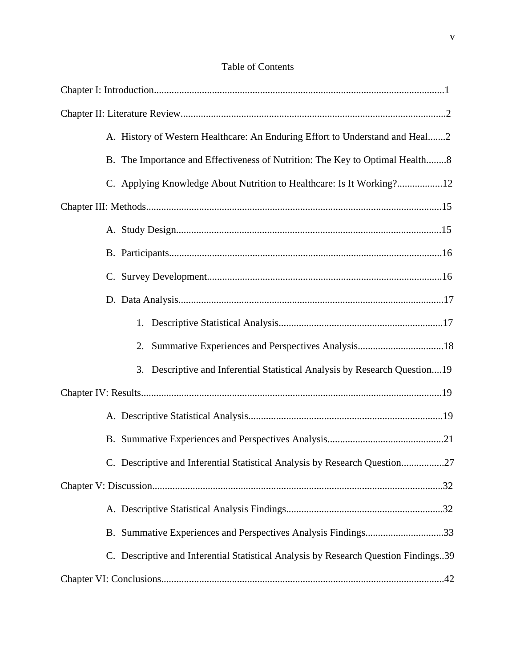| A. History of Western Healthcare: An Enduring Effort to Understand and Heal2        |
|-------------------------------------------------------------------------------------|
| B. The Importance and Effectiveness of Nutrition: The Key to Optimal Health8        |
| C. Applying Knowledge About Nutrition to Healthcare: Is It Working?12               |
|                                                                                     |
|                                                                                     |
|                                                                                     |
|                                                                                     |
|                                                                                     |
|                                                                                     |
| 2.                                                                                  |
| 3. Descriptive and Inferential Statistical Analysis by Research Question19          |
|                                                                                     |
|                                                                                     |
|                                                                                     |
| C. Descriptive and Inferential Statistical Analysis by Research Question27          |
|                                                                                     |
|                                                                                     |
| B. Summative Experiences and Perspectives Analysis Findings33                       |
| C. Descriptive and Inferential Statistical Analysis by Research Question Findings39 |
|                                                                                     |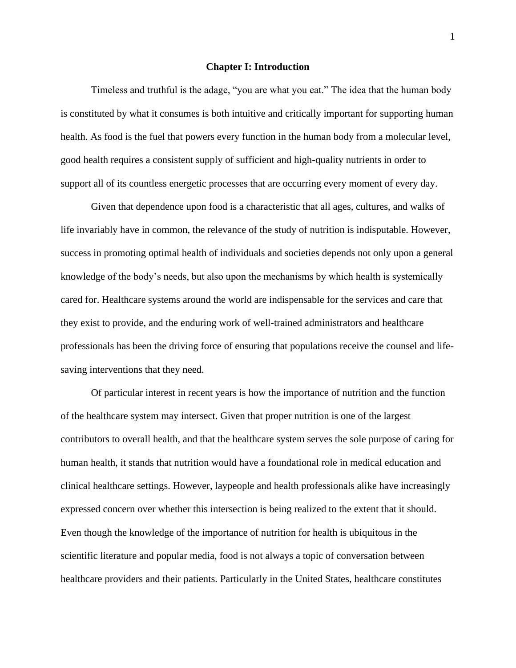#### **Chapter I: Introduction**

Timeless and truthful is the adage, "you are what you eat." The idea that the human body is constituted by what it consumes is both intuitive and critically important for supporting human health. As food is the fuel that powers every function in the human body from a molecular level, good health requires a consistent supply of sufficient and high-quality nutrients in order to support all of its countless energetic processes that are occurring every moment of every day.

Given that dependence upon food is a characteristic that all ages, cultures, and walks of life invariably have in common, the relevance of the study of nutrition is indisputable. However, success in promoting optimal health of individuals and societies depends not only upon a general knowledge of the body's needs, but also upon the mechanisms by which health is systemically cared for. Healthcare systems around the world are indispensable for the services and care that they exist to provide, and the enduring work of well-trained administrators and healthcare professionals has been the driving force of ensuring that populations receive the counsel and lifesaving interventions that they need.

Of particular interest in recent years is how the importance of nutrition and the function of the healthcare system may intersect. Given that proper nutrition is one of the largest contributors to overall health, and that the healthcare system serves the sole purpose of caring for human health, it stands that nutrition would have a foundational role in medical education and clinical healthcare settings. However, laypeople and health professionals alike have increasingly expressed concern over whether this intersection is being realized to the extent that it should. Even though the knowledge of the importance of nutrition for health is ubiquitous in the scientific literature and popular media, food is not always a topic of conversation between healthcare providers and their patients. Particularly in the United States, healthcare constitutes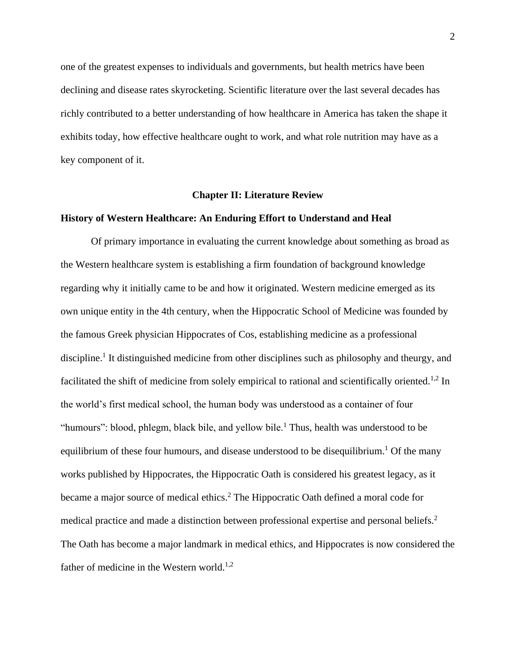one of the greatest expenses to individuals and governments, but health metrics have been declining and disease rates skyrocketing. Scientific literature over the last several decades has richly contributed to a better understanding of how healthcare in America has taken the shape it exhibits today, how effective healthcare ought to work, and what role nutrition may have as a key component of it.

#### **Chapter II: Literature Review**

#### **History of Western Healthcare: An Enduring Effort to Understand and Heal**

Of primary importance in evaluating the current knowledge about something as broad as the Western healthcare system is establishing a firm foundation of background knowledge regarding why it initially came to be and how it originated. Western medicine emerged as its own unique entity in the 4th century, when the Hippocratic School of Medicine was founded by the famous Greek physician Hippocrates of Cos, establishing medicine as a professional discipline.<sup>1</sup> It distinguished medicine from other disciplines such as philosophy and theurgy, and facilitated the shift of medicine from solely empirical to rational and scientifically oriented.<sup>1,2</sup> In the world's first medical school, the human body was understood as a container of four "humours": blood, phlegm, black bile, and yellow bile.<sup>1</sup> Thus, health was understood to be equilibrium of these four humours, and disease understood to be disequilibrium.<sup>1</sup> Of the many works published by Hippocrates, the Hippocratic Oath is considered his greatest legacy, as it became a major source of medical ethics.<sup>2</sup> The Hippocratic Oath defined a moral code for medical practice and made a distinction between professional expertise and personal beliefs.<sup>2</sup> The Oath has become a major landmark in medical ethics, and Hippocrates is now considered the father of medicine in the Western world.<sup>1,2</sup>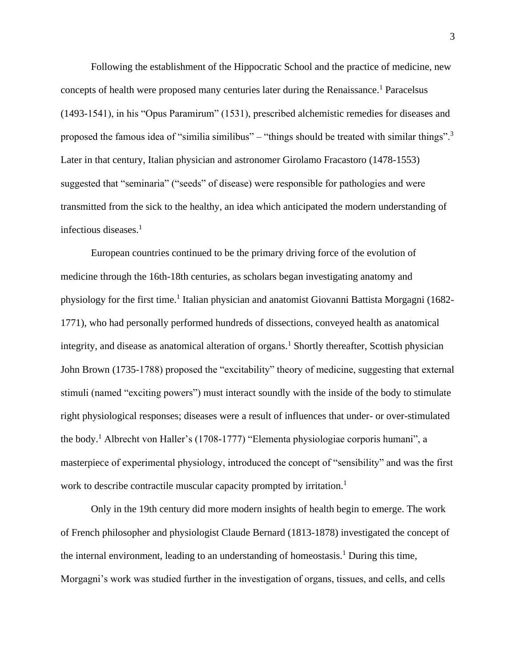Following the establishment of the Hippocratic School and the practice of medicine, new concepts of health were proposed many centuries later during the Renaissance.<sup>1</sup> Paracelsus (1493-1541), in his "Opus Paramirum" (1531), prescribed alchemistic remedies for diseases and proposed the famous idea of "similia similibus" – "things should be treated with similar things".<sup>3</sup> Later in that century, Italian physician and astronomer Girolamo Fracastoro (1478-1553) suggested that "seminaria" ("seeds" of disease) were responsible for pathologies and were transmitted from the sick to the healthy, an idea which anticipated the modern understanding of infectious diseases.<sup>1</sup>

European countries continued to be the primary driving force of the evolution of medicine through the 16th-18th centuries, as scholars began investigating anatomy and physiology for the first time.<sup>1</sup> Italian physician and anatomist Giovanni Battista Morgagni (1682-1771), who had personally performed hundreds of dissections, conveyed health as anatomical integrity, and disease as anatomical alteration of organs.<sup>1</sup> Shortly thereafter, Scottish physician John Brown (1735-1788) proposed the "excitability" theory of medicine, suggesting that external stimuli (named "exciting powers") must interact soundly with the inside of the body to stimulate right physiological responses; diseases were a result of influences that under- or over-stimulated the body.<sup>1</sup> Albrecht von Haller's (1708-1777) "Elementa physiologiae corporis humani", a masterpiece of experimental physiology, introduced the concept of "sensibility" and was the first work to describe contractile muscular capacity prompted by irritation.<sup>1</sup>

Only in the 19th century did more modern insights of health begin to emerge. The work of French philosopher and physiologist Claude Bernard (1813-1878) investigated the concept of the internal environment, leading to an understanding of homeostasis.<sup>1</sup> During this time, Morgagni's work was studied further in the investigation of organs, tissues, and cells, and cells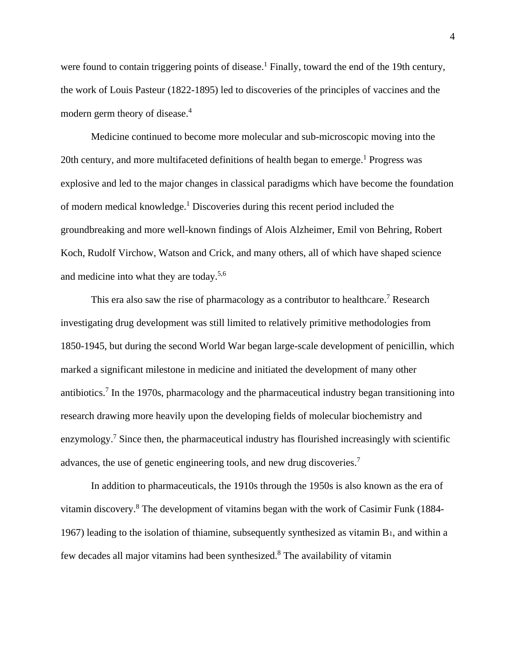were found to contain triggering points of disease.<sup>1</sup> Finally, toward the end of the 19th century, the work of Louis Pasteur (1822-1895) led to discoveries of the principles of vaccines and the modern germ theory of disease.<sup>4</sup>

Medicine continued to become more molecular and sub-microscopic moving into the 20th century, and more multifaceted definitions of health began to emerge.<sup>1</sup> Progress was explosive and led to the major changes in classical paradigms which have become the foundation of modern medical knowledge.<sup>1</sup> Discoveries during this recent period included the groundbreaking and more well-known findings of Alois Alzheimer, Emil von Behring, Robert Koch, Rudolf Virchow, Watson and Crick, and many others, all of which have shaped science and medicine into what they are today.5,6

This era also saw the rise of pharmacology as a contributor to healthcare.<sup>7</sup> Research investigating drug development was still limited to relatively primitive methodologies from 1850-1945, but during the second World War began large-scale development of penicillin, which marked a significant milestone in medicine and initiated the development of many other antibiotics.<sup>7</sup> In the 1970s, pharmacology and the pharmaceutical industry began transitioning into research drawing more heavily upon the developing fields of molecular biochemistry and enzymology.<sup>7</sup> Since then, the pharmaceutical industry has flourished increasingly with scientific advances, the use of genetic engineering tools, and new drug discoveries.<sup>7</sup>

In addition to pharmaceuticals, the 1910s through the 1950s is also known as the era of vitamin discovery.<sup>8</sup> The development of vitamins began with the work of Casimir Funk (1884- 1967) leading to the isolation of thiamine, subsequently synthesized as vitamin  $B_1$ , and within a few decades all major vitamins had been synthesized.<sup>8</sup> The availability of vitamin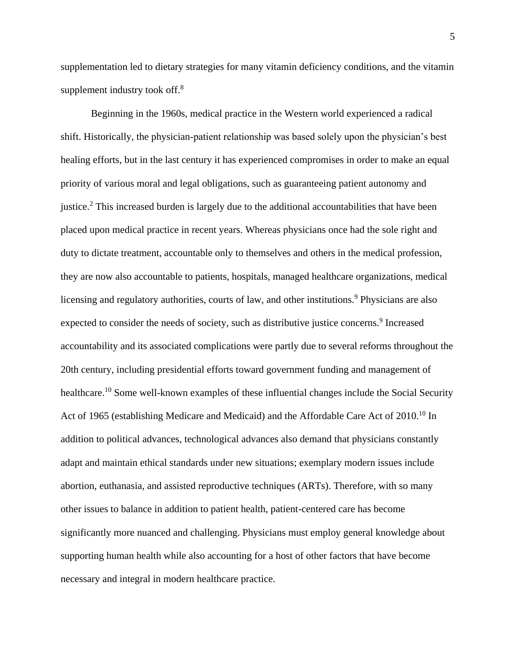supplementation led to dietary strategies for many vitamin deficiency conditions, and the vitamin supplement industry took off.<sup>8</sup>

Beginning in the 1960s, medical practice in the Western world experienced a radical shift. Historically, the physician-patient relationship was based solely upon the physician's best healing efforts, but in the last century it has experienced compromises in order to make an equal priority of various moral and legal obligations, such as guaranteeing patient autonomy and justice.<sup>2</sup> This increased burden is largely due to the additional accountabilities that have been placed upon medical practice in recent years. Whereas physicians once had the sole right and duty to dictate treatment, accountable only to themselves and others in the medical profession, they are now also accountable to patients, hospitals, managed healthcare organizations, medical licensing and regulatory authorities, courts of law, and other institutions.<sup>9</sup> Physicians are also expected to consider the needs of society, such as distributive justice concerns.<sup>9</sup> Increased accountability and its associated complications were partly due to several reforms throughout the 20th century, including presidential efforts toward government funding and management of healthcare.<sup>10</sup> Some well-known examples of these influential changes include the Social Security Act of 1965 (establishing Medicare and Medicaid) and the Affordable Care Act of 2010.<sup>10</sup> In addition to political advances, technological advances also demand that physicians constantly adapt and maintain ethical standards under new situations; exemplary modern issues include abortion, euthanasia, and assisted reproductive techniques (ARTs). Therefore, with so many other issues to balance in addition to patient health, patient-centered care has become significantly more nuanced and challenging. Physicians must employ general knowledge about supporting human health while also accounting for a host of other factors that have become necessary and integral in modern healthcare practice.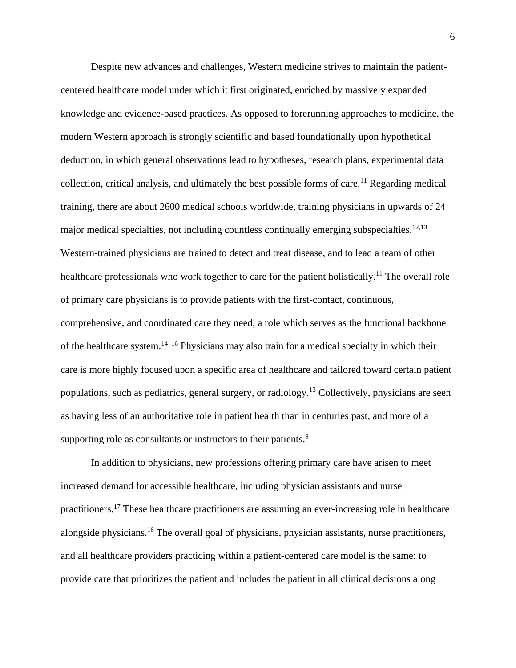Despite new advances and challenges, Western medicine strives to maintain the patientcentered healthcare model under which it first originated, enriched by massively expanded knowledge and evidence-based practices. As opposed to forerunning approaches to medicine, the modern Western approach is strongly scientific and based foundationally upon hypothetical deduction, in which general observations lead to hypotheses, research plans, experimental data collection, critical analysis, and ultimately the best possible forms of care.<sup>11</sup> Regarding medical training, there are about 2600 medical schools worldwide, training physicians in upwards of 24 major medical specialties, not including countless continually emerging subspecialties.<sup>12,13</sup> Western-trained physicians are trained to detect and treat disease, and to lead a team of other healthcare professionals who work together to care for the patient holistically.<sup>11</sup> The overall role of primary care physicians is to provide patients with the first-contact, continuous, comprehensive, and coordinated care they need, a role which serves as the functional backbone of the healthcare system.14–16 Physicians may also train for a medical specialty in which their care is more highly focused upon a specific area of healthcare and tailored toward certain patient populations, such as pediatrics, general surgery, or radiology.<sup>13</sup> Collectively, physicians are seen as having less of an authoritative role in patient health than in centuries past, and more of a supporting role as consultants or instructors to their patients.<sup>9</sup>

In addition to physicians, new professions offering primary care have arisen to meet increased demand for accessible healthcare, including physician assistants and nurse practitioners.<sup>17</sup> These healthcare practitioners are assuming an ever-increasing role in healthcare alongside physicians.<sup>16</sup> The overall goal of physicians, physician assistants, nurse practitioners, and all healthcare providers practicing within a patient-centered care model is the same: to provide care that prioritizes the patient and includes the patient in all clinical decisions along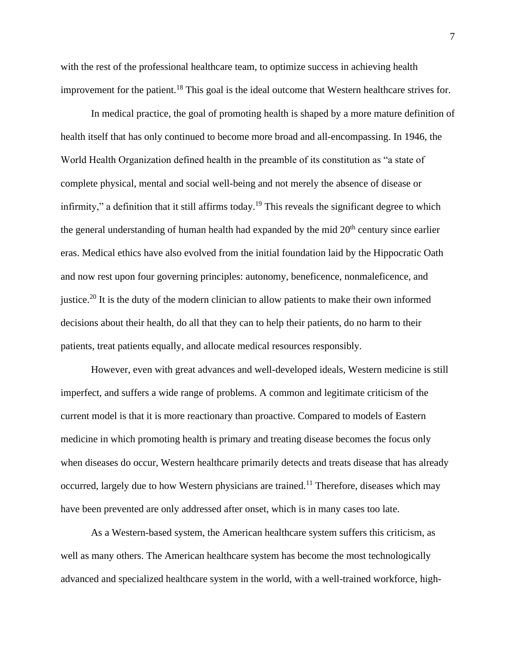with the rest of the professional healthcare team, to optimize success in achieving health improvement for the patient.<sup>18</sup> This goal is the ideal outcome that Western healthcare strives for.

In medical practice, the goal of promoting health is shaped by a more mature definition of health itself that has only continued to become more broad and all-encompassing. In 1946, the World Health Organization defined health in the preamble of its constitution as "a state of complete physical, mental and social well-being and not merely the absence of disease or infirmity," a definition that it still affirms today.<sup>19</sup> This reveals the significant degree to which the general understanding of human health had expanded by the mid  $20<sup>th</sup>$  century since earlier eras. Medical ethics have also evolved from the initial foundation laid by the Hippocratic Oath and now rest upon four governing principles: autonomy, beneficence, nonmaleficence, and justice.<sup>20</sup> It is the duty of the modern clinician to allow patients to make their own informed decisions about their health, do all that they can to help their patients, do no harm to their patients, treat patients equally, and allocate medical resources responsibly.

However, even with great advances and well-developed ideals, Western medicine is still imperfect, and suffers a wide range of problems. A common and legitimate criticism of the current model is that it is more reactionary than proactive. Compared to models of Eastern medicine in which promoting health is primary and treating disease becomes the focus only when diseases do occur, Western healthcare primarily detects and treats disease that has already occurred, largely due to how Western physicians are trained.<sup>11</sup> Therefore, diseases which may have been prevented are only addressed after onset, which is in many cases too late.

As a Western-based system, the American healthcare system suffers this criticism, as well as many others. The American healthcare system has become the most technologically advanced and specialized healthcare system in the world, with a well-trained workforce, high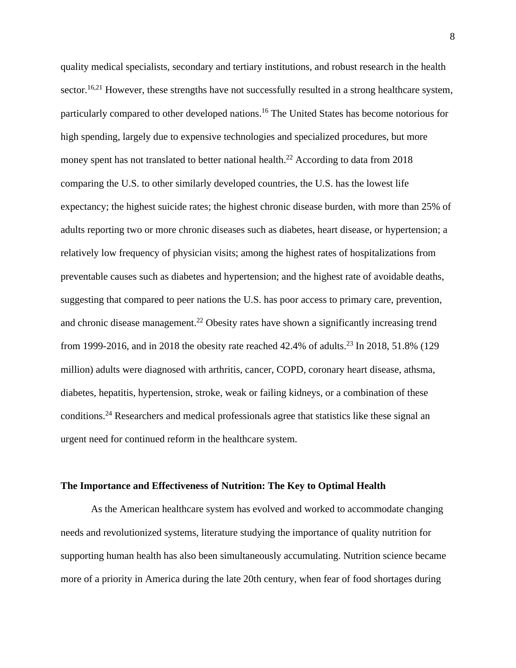quality medical specialists, secondary and tertiary institutions, and robust research in the health sector.<sup>16,21</sup> However, these strengths have not successfully resulted in a strong healthcare system, particularly compared to other developed nations.<sup>16</sup> The United States has become notorious for high spending, largely due to expensive technologies and specialized procedures, but more money spent has not translated to better national health.<sup>22</sup> According to data from  $2018$ comparing the U.S. to other similarly developed countries, the U.S. has the lowest life expectancy; the highest suicide rates; the highest chronic disease burden, with more than 25% of adults reporting two or more chronic diseases such as diabetes, heart disease, or hypertension; a relatively low frequency of physician visits; among the highest rates of hospitalizations from preventable causes such as diabetes and hypertension; and the highest rate of avoidable deaths, suggesting that compared to peer nations the U.S. has poor access to primary care, prevention, and chronic disease management.<sup>22</sup> Obesity rates have shown a significantly increasing trend from 1999-2016, and in 2018 the obesity rate reached 42.4% of adults.<sup>23</sup> In 2018, 51.8% (129) million) adults were diagnosed with arthritis, cancer, COPD, coronary heart disease, athsma, diabetes, hepatitis, hypertension, stroke, weak or failing kidneys, or a combination of these conditions.<sup>24</sup> Researchers and medical professionals agree that statistics like these signal an urgent need for continued reform in the healthcare system.

#### **The Importance and Effectiveness of Nutrition: The Key to Optimal Health**

As the American healthcare system has evolved and worked to accommodate changing needs and revolutionized systems, literature studying the importance of quality nutrition for supporting human health has also been simultaneously accumulating. Nutrition science became more of a priority in America during the late 20th century, when fear of food shortages during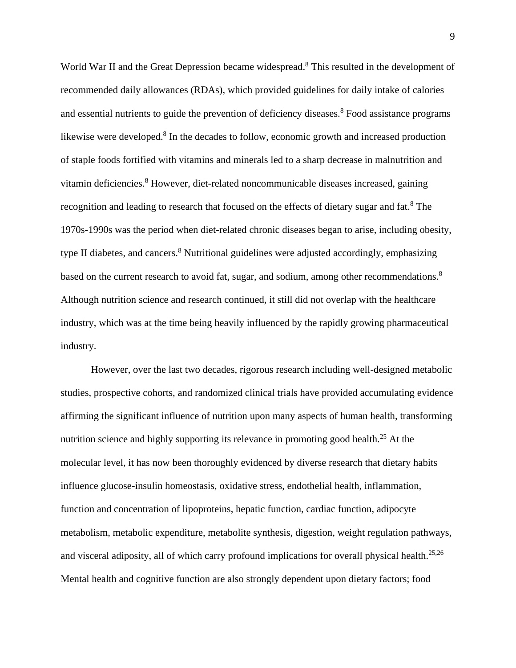World War II and the Great Depression became widespread.<sup>8</sup> This resulted in the development of recommended daily allowances (RDAs), which provided guidelines for daily intake of calories and essential nutrients to guide the prevention of deficiency diseases.<sup>8</sup> Food assistance programs likewise were developed.<sup>8</sup> In the decades to follow, economic growth and increased production of staple foods fortified with vitamins and minerals led to a sharp decrease in malnutrition and vitamin deficiencies.<sup>8</sup> However, diet-related noncommunicable diseases increased, gaining recognition and leading to research that focused on the effects of dietary sugar and fat.<sup>8</sup> The 1970s-1990s was the period when diet-related chronic diseases began to arise, including obesity, type II diabetes, and cancers.<sup>8</sup> Nutritional guidelines were adjusted accordingly, emphasizing based on the current research to avoid fat, sugar, and sodium, among other recommendations.<sup>8</sup> Although nutrition science and research continued, it still did not overlap with the healthcare industry, which was at the time being heavily influenced by the rapidly growing pharmaceutical industry.

However, over the last two decades, rigorous research including well-designed metabolic studies, prospective cohorts, and randomized clinical trials have provided accumulating evidence affirming the significant influence of nutrition upon many aspects of human health, transforming nutrition science and highly supporting its relevance in promoting good health.<sup>25</sup> At the molecular level, it has now been thoroughly evidenced by diverse research that dietary habits influence glucose-insulin homeostasis, oxidative stress, endothelial health, inflammation, function and concentration of lipoproteins, hepatic function, cardiac function, adipocyte metabolism, metabolic expenditure, metabolite synthesis, digestion, weight regulation pathways, and visceral adiposity, all of which carry profound implications for overall physical health.<sup>25,26</sup> Mental health and cognitive function are also strongly dependent upon dietary factors; food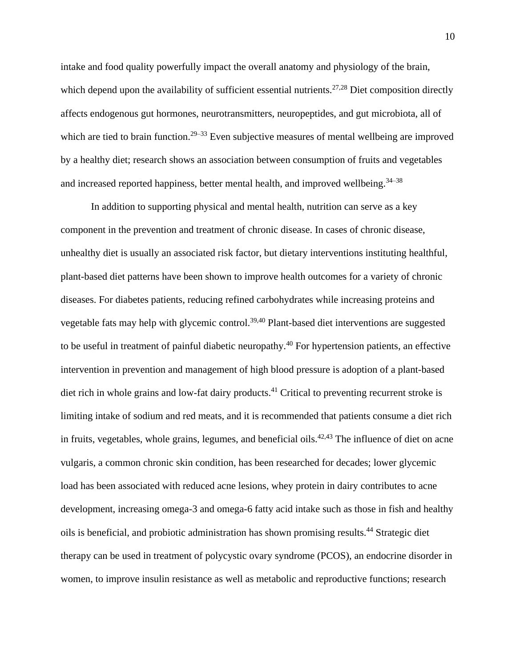intake and food quality powerfully impact the overall anatomy and physiology of the brain, which depend upon the availability of sufficient essential nutrients.<sup>27,28</sup> Diet composition directly affects endogenous gut hormones, neurotransmitters, neuropeptides, and gut microbiota, all of which are tied to brain function.<sup>29–33</sup> Even subjective measures of mental wellbeing are improved by a healthy diet; research shows an association between consumption of fruits and vegetables and increased reported happiness, better mental health, and improved wellbeing.  $34-38$ 

In addition to supporting physical and mental health, nutrition can serve as a key component in the prevention and treatment of chronic disease. In cases of chronic disease, unhealthy diet is usually an associated risk factor, but dietary interventions instituting healthful, plant-based diet patterns have been shown to improve health outcomes for a variety of chronic diseases. For diabetes patients, reducing refined carbohydrates while increasing proteins and vegetable fats may help with glycemic control.<sup>39,40</sup> Plant-based diet interventions are suggested to be useful in treatment of painful diabetic neuropathy.<sup>40</sup> For hypertension patients, an effective intervention in prevention and management of high blood pressure is adoption of a plant-based diet rich in whole grains and low-fat dairy products.<sup>41</sup> Critical to preventing recurrent stroke is limiting intake of sodium and red meats, and it is recommended that patients consume a diet rich in fruits, vegetables, whole grains, legumes, and beneficial oils.<sup>42,43</sup> The influence of diet on acne vulgaris, a common chronic skin condition, has been researched for decades; lower glycemic load has been associated with reduced acne lesions, whey protein in dairy contributes to acne development, increasing omega-3 and omega-6 fatty acid intake such as those in fish and healthy oils is beneficial, and probiotic administration has shown promising results.<sup>44</sup> Strategic diet therapy can be used in treatment of polycystic ovary syndrome (PCOS), an endocrine disorder in women, to improve insulin resistance as well as metabolic and reproductive functions; research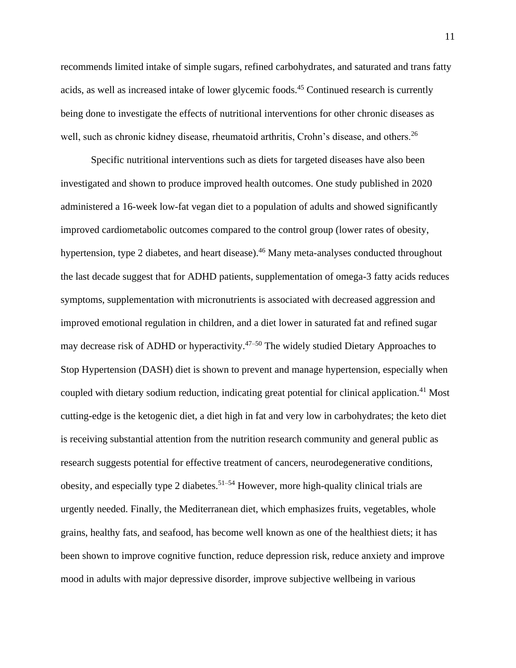recommends limited intake of simple sugars, refined carbohydrates, and saturated and trans fatty acids, as well as increased intake of lower glycemic foods.<sup>45</sup> Continued research is currently being done to investigate the effects of nutritional interventions for other chronic diseases as well, such as chronic kidney disease, rheumatoid arthritis, Crohn's disease, and others.<sup>26</sup>

Specific nutritional interventions such as diets for targeted diseases have also been investigated and shown to produce improved health outcomes. One study published in 2020 administered a 16-week low-fat vegan diet to a population of adults and showed significantly improved cardiometabolic outcomes compared to the control group (lower rates of obesity, hypertension, type 2 diabetes, and heart disease).<sup>46</sup> Many meta-analyses conducted throughout the last decade suggest that for ADHD patients, supplementation of omega-3 fatty acids reduces symptoms, supplementation with micronutrients is associated with decreased aggression and improved emotional regulation in children, and a diet lower in saturated fat and refined sugar may decrease risk of ADHD or hyperactivity.<sup>47–50</sup> The widely studied Dietary Approaches to Stop Hypertension (DASH) diet is shown to prevent and manage hypertension, especially when coupled with dietary sodium reduction, indicating great potential for clinical application.<sup>41</sup> Most cutting-edge is the ketogenic diet, a diet high in fat and very low in carbohydrates; the keto diet is receiving substantial attention from the nutrition research community and general public as research suggests potential for effective treatment of cancers, neurodegenerative conditions, obesity, and especially type 2 diabetes.<sup>51–54</sup> However, more high-quality clinical trials are urgently needed. Finally, the Mediterranean diet, which emphasizes fruits, vegetables, whole grains, healthy fats, and seafood, has become well known as one of the healthiest diets; it has been shown to improve cognitive function, reduce depression risk, reduce anxiety and improve mood in adults with major depressive disorder, improve subjective wellbeing in various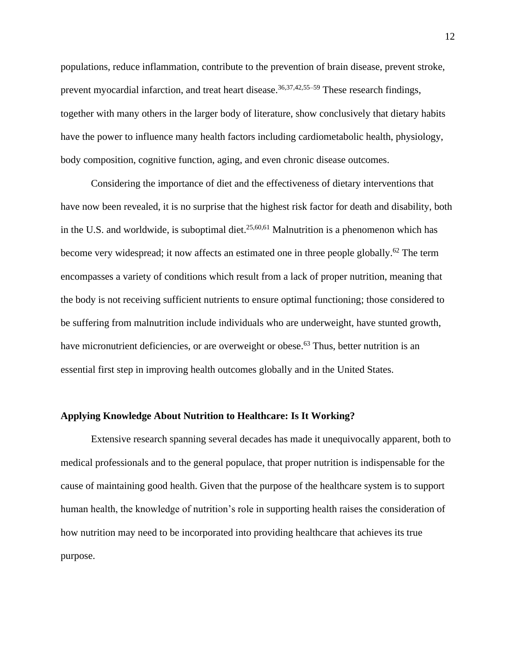populations, reduce inflammation, contribute to the prevention of brain disease, prevent stroke, prevent myocardial infarction, and treat heart disease.<sup>36,37,42,55–59</sup> These research findings, together with many others in the larger body of literature, show conclusively that dietary habits have the power to influence many health factors including cardiometabolic health, physiology, body composition, cognitive function, aging, and even chronic disease outcomes.

Considering the importance of diet and the effectiveness of dietary interventions that have now been revealed, it is no surprise that the highest risk factor for death and disability, both in the U.S. and worldwide, is suboptimal diet.<sup>25,60,61</sup> Malnutrition is a phenomenon which has become very widespread; it now affects an estimated one in three people globally.<sup>62</sup> The term encompasses a variety of conditions which result from a lack of proper nutrition, meaning that the body is not receiving sufficient nutrients to ensure optimal functioning; those considered to be suffering from malnutrition include individuals who are underweight, have stunted growth, have micronutrient deficiencies, or are overweight or obese.<sup>63</sup> Thus, better nutrition is an essential first step in improving health outcomes globally and in the United States.

#### **Applying Knowledge About Nutrition to Healthcare: Is It Working?**

Extensive research spanning several decades has made it unequivocally apparent, both to medical professionals and to the general populace, that proper nutrition is indispensable for the cause of maintaining good health. Given that the purpose of the healthcare system is to support human health, the knowledge of nutrition's role in supporting health raises the consideration of how nutrition may need to be incorporated into providing healthcare that achieves its true purpose.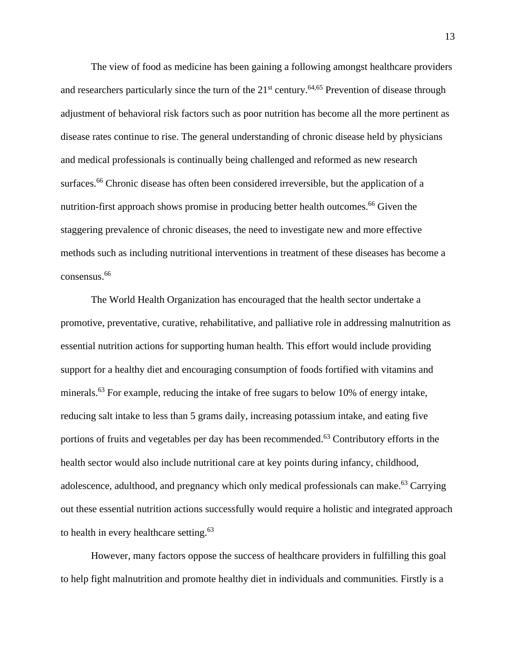The view of food as medicine has been gaining a following amongst healthcare providers and researchers particularly since the turn of the  $21<sup>st</sup>$  century.<sup>64,65</sup> Prevention of disease through adjustment of behavioral risk factors such as poor nutrition has become all the more pertinent as disease rates continue to rise. The general understanding of chronic disease held by physicians and medical professionals is continually being challenged and reformed as new research surfaces.<sup>66</sup> Chronic disease has often been considered irreversible, but the application of a nutrition-first approach shows promise in producing better health outcomes.<sup>66</sup> Given the staggering prevalence of chronic diseases, the need to investigate new and more effective methods such as including nutritional interventions in treatment of these diseases has become a consensus.<sup>66</sup>

The World Health Organization has encouraged that the health sector undertake a promotive, preventative, curative, rehabilitative, and palliative role in addressing malnutrition as essential nutrition actions for supporting human health. This effort would include providing support for a healthy diet and encouraging consumption of foods fortified with vitamins and minerals.<sup>63</sup> For example, reducing the intake of free sugars to below 10% of energy intake, reducing salt intake to less than 5 grams daily, increasing potassium intake, and eating five portions of fruits and vegetables per day has been recommended.<sup>63</sup> Contributory efforts in the health sector would also include nutritional care at key points during infancy, childhood, adolescence, adulthood, and pregnancy which only medical professionals can make.<sup>63</sup> Carrying out these essential nutrition actions successfully would require a holistic and integrated approach to health in every healthcare setting.<sup>63</sup>

However, many factors oppose the success of healthcare providers in fulfilling this goal to help fight malnutrition and promote healthy diet in individuals and communities. Firstly is a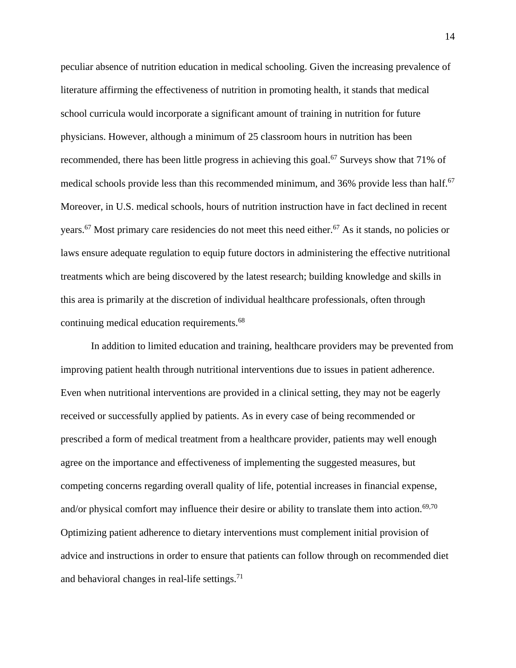peculiar absence of nutrition education in medical schooling. Given the increasing prevalence of literature affirming the effectiveness of nutrition in promoting health, it stands that medical school curricula would incorporate a significant amount of training in nutrition for future physicians. However, although a minimum of 25 classroom hours in nutrition has been recommended, there has been little progress in achieving this goal.<sup>67</sup> Surveys show that 71% of medical schools provide less than this recommended minimum, and 36% provide less than half.<sup>67</sup> Moreover, in U.S. medical schools, hours of nutrition instruction have in fact declined in recent years.<sup>67</sup> Most primary care residencies do not meet this need either.<sup>67</sup> As it stands, no policies or laws ensure adequate regulation to equip future doctors in administering the effective nutritional treatments which are being discovered by the latest research; building knowledge and skills in this area is primarily at the discretion of individual healthcare professionals, often through continuing medical education requirements.<sup>68</sup>

In addition to limited education and training, healthcare providers may be prevented from improving patient health through nutritional interventions due to issues in patient adherence. Even when nutritional interventions are provided in a clinical setting, they may not be eagerly received or successfully applied by patients. As in every case of being recommended or prescribed a form of medical treatment from a healthcare provider, patients may well enough agree on the importance and effectiveness of implementing the suggested measures, but competing concerns regarding overall quality of life, potential increases in financial expense, and/or physical comfort may influence their desire or ability to translate them into action.<sup>69,70</sup> Optimizing patient adherence to dietary interventions must complement initial provision of advice and instructions in order to ensure that patients can follow through on recommended diet and behavioral changes in real-life settings. $71$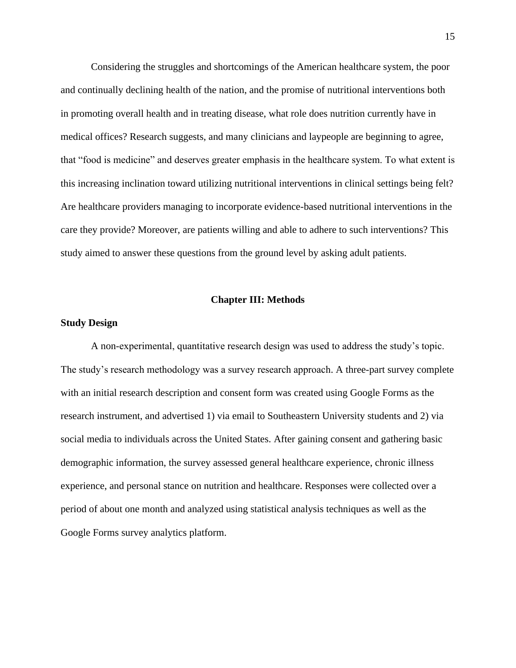Considering the struggles and shortcomings of the American healthcare system, the poor and continually declining health of the nation, and the promise of nutritional interventions both in promoting overall health and in treating disease, what role does nutrition currently have in medical offices? Research suggests, and many clinicians and laypeople are beginning to agree, that "food is medicine" and deserves greater emphasis in the healthcare system. To what extent is this increasing inclination toward utilizing nutritional interventions in clinical settings being felt? Are healthcare providers managing to incorporate evidence-based nutritional interventions in the care they provide? Moreover, are patients willing and able to adhere to such interventions? This study aimed to answer these questions from the ground level by asking adult patients.

#### **Chapter III: Methods**

#### **Study Design**

A non-experimental, quantitative research design was used to address the study's topic. The study's research methodology was a survey research approach. A three-part survey complete with an initial research description and consent form was created using Google Forms as the research instrument, and advertised 1) via email to Southeastern University students and 2) via social media to individuals across the United States. After gaining consent and gathering basic demographic information, the survey assessed general healthcare experience, chronic illness experience, and personal stance on nutrition and healthcare. Responses were collected over a period of about one month and analyzed using statistical analysis techniques as well as the Google Forms survey analytics platform.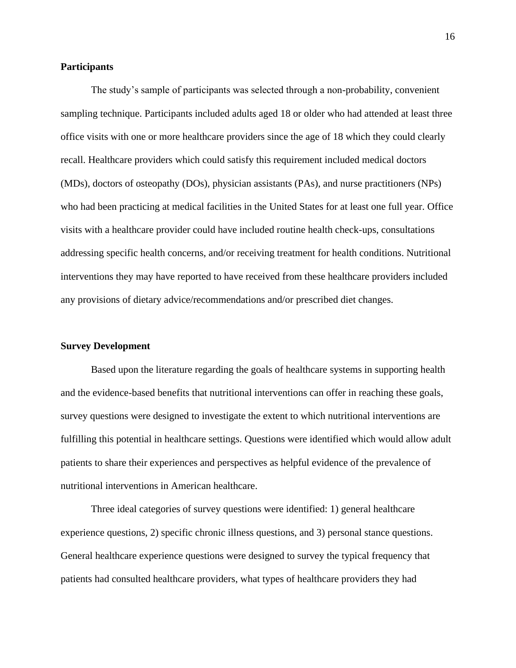#### **Participants**

The study's sample of participants was selected through a non-probability, convenient sampling technique. Participants included adults aged 18 or older who had attended at least three office visits with one or more healthcare providers since the age of 18 which they could clearly recall. Healthcare providers which could satisfy this requirement included medical doctors (MDs), doctors of osteopathy (DOs), physician assistants (PAs), and nurse practitioners (NPs) who had been practicing at medical facilities in the United States for at least one full year. Office visits with a healthcare provider could have included routine health check-ups, consultations addressing specific health concerns, and/or receiving treatment for health conditions. Nutritional interventions they may have reported to have received from these healthcare providers included any provisions of dietary advice/recommendations and/or prescribed diet changes.

#### **Survey Development**

Based upon the literature regarding the goals of healthcare systems in supporting health and the evidence-based benefits that nutritional interventions can offer in reaching these goals, survey questions were designed to investigate the extent to which nutritional interventions are fulfilling this potential in healthcare settings. Questions were identified which would allow adult patients to share their experiences and perspectives as helpful evidence of the prevalence of nutritional interventions in American healthcare.

Three ideal categories of survey questions were identified: 1) general healthcare experience questions, 2) specific chronic illness questions, and 3) personal stance questions. General healthcare experience questions were designed to survey the typical frequency that patients had consulted healthcare providers, what types of healthcare providers they had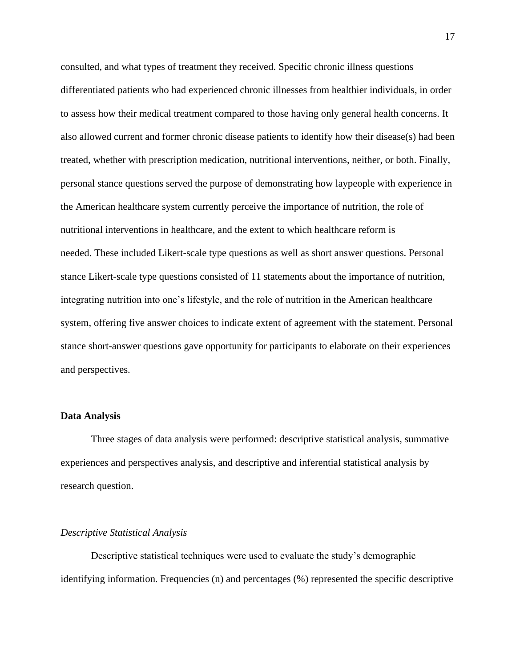consulted, and what types of treatment they received. Specific chronic illness questions differentiated patients who had experienced chronic illnesses from healthier individuals, in order to assess how their medical treatment compared to those having only general health concerns. It also allowed current and former chronic disease patients to identify how their disease(s) had been treated, whether with prescription medication, nutritional interventions, neither, or both. Finally, personal stance questions served the purpose of demonstrating how laypeople with experience in the American healthcare system currently perceive the importance of nutrition, the role of nutritional interventions in healthcare, and the extent to which healthcare reform is needed. These included Likert-scale type questions as well as short answer questions. Personal stance Likert-scale type questions consisted of 11 statements about the importance of nutrition, integrating nutrition into one's lifestyle, and the role of nutrition in the American healthcare system, offering five answer choices to indicate extent of agreement with the statement. Personal stance short-answer questions gave opportunity for participants to elaborate on their experiences and perspectives.

#### **Data Analysis**

Three stages of data analysis were performed: descriptive statistical analysis, summative experiences and perspectives analysis, and descriptive and inferential statistical analysis by research question.

#### *Descriptive Statistical Analysis*

Descriptive statistical techniques were used to evaluate the study's demographic identifying information. Frequencies (n) and percentages (%) represented the specific descriptive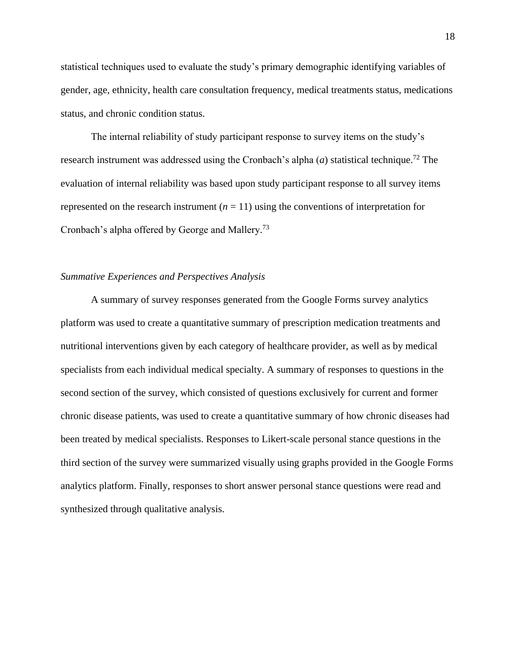statistical techniques used to evaluate the study's primary demographic identifying variables of gender, age, ethnicity, health care consultation frequency, medical treatments status, medications status, and chronic condition status.

The internal reliability of study participant response to survey items on the study's research instrument was addressed using the Cronbach's alpha  $(a)$  statistical technique.<sup>72</sup> The evaluation of internal reliability was based upon study participant response to all survey items represented on the research instrument  $(n = 11)$  using the conventions of interpretation for Cronbach's alpha offered by George and Mallery.<sup>73</sup>

#### *Summative Experiences and Perspectives Analysis*

A summary of survey responses generated from the Google Forms survey analytics platform was used to create a quantitative summary of prescription medication treatments and nutritional interventions given by each category of healthcare provider, as well as by medical specialists from each individual medical specialty. A summary of responses to questions in the second section of the survey, which consisted of questions exclusively for current and former chronic disease patients, was used to create a quantitative summary of how chronic diseases had been treated by medical specialists. Responses to Likert-scale personal stance questions in the third section of the survey were summarized visually using graphs provided in the Google Forms analytics platform. Finally, responses to short answer personal stance questions were read and synthesized through qualitative analysis.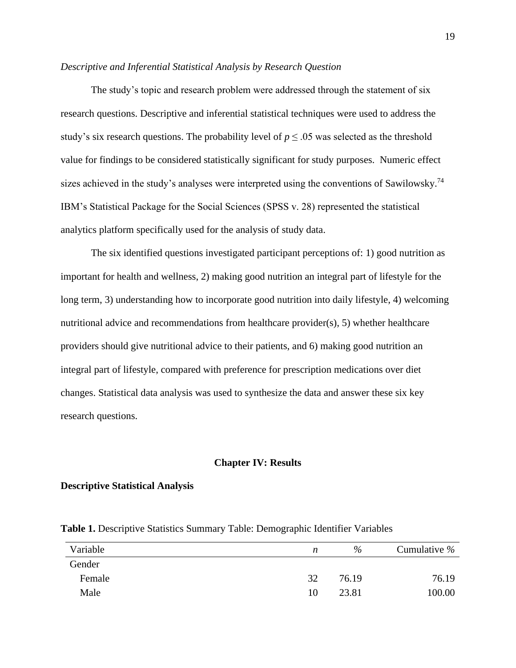#### *Descriptive and Inferential Statistical Analysis by Research Question*

The study's topic and research problem were addressed through the statement of six research questions. Descriptive and inferential statistical techniques were used to address the study's six research questions. The probability level of  $p \leq 0.05$  was selected as the threshold value for findings to be considered statistically significant for study purposes. Numeric effect sizes achieved in the study's analyses were interpreted using the conventions of Sawilowsky.<sup>74</sup> IBM's Statistical Package for the Social Sciences (SPSS v. 28) represented the statistical analytics platform specifically used for the analysis of study data.

The six identified questions investigated participant perceptions of: 1) good nutrition as important for health and wellness, 2) making good nutrition an integral part of lifestyle for the long term, 3) understanding how to incorporate good nutrition into daily lifestyle, 4) welcoming nutritional advice and recommendations from healthcare provider(s), 5) whether healthcare providers should give nutritional advice to their patients, and 6) making good nutrition an integral part of lifestyle, compared with preference for prescription medications over diet changes. Statistical data analysis was used to synthesize the data and answer these six key research questions.

#### **Chapter IV: Results**

#### **Descriptive Statistical Analysis**

| Variable | n  | %     | Cumulative $%$ |
|----------|----|-------|----------------|
| Gender   |    |       |                |
| Female   | 32 | 76.19 | 76.19          |
| Male     | 10 | 23.81 | 100.00         |

**Table 1.** Descriptive Statistics Summary Table: Demographic Identifier Variables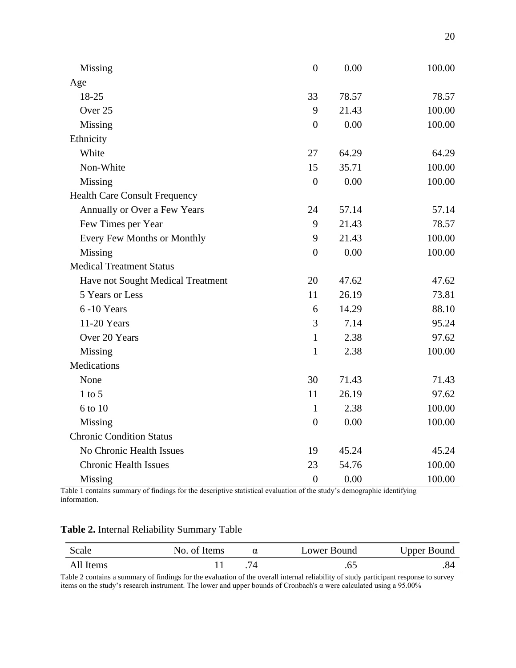| Missing                              | $\boldsymbol{0}$ | 0.00  | 100.00 |
|--------------------------------------|------------------|-------|--------|
| Age                                  |                  |       |        |
| 18-25                                | 33               | 78.57 | 78.57  |
| Over 25                              | 9                | 21.43 | 100.00 |
| Missing                              | $\boldsymbol{0}$ | 0.00  | 100.00 |
| Ethnicity                            |                  |       |        |
| White                                | 27               | 64.29 | 64.29  |
| Non-White                            | 15               | 35.71 | 100.00 |
| Missing                              | $\boldsymbol{0}$ | 0.00  | 100.00 |
| <b>Health Care Consult Frequency</b> |                  |       |        |
| Annually or Over a Few Years         | 24               | 57.14 | 57.14  |
| Few Times per Year                   | 9                | 21.43 | 78.57  |
| Every Few Months or Monthly          | 9                | 21.43 | 100.00 |
| Missing                              | $\boldsymbol{0}$ | 0.00  | 100.00 |
| <b>Medical Treatment Status</b>      |                  |       |        |
| Have not Sought Medical Treatment    | 20               | 47.62 | 47.62  |
| 5 Years or Less                      | 11               | 26.19 | 73.81  |
| 6-10 Years                           | 6                | 14.29 | 88.10  |
| 11-20 Years                          | 3                | 7.14  | 95.24  |
| Over 20 Years                        | $\mathbf{1}$     | 2.38  | 97.62  |
| Missing                              | $\mathbf{1}$     | 2.38  | 100.00 |
| Medications                          |                  |       |        |
| None                                 | 30               | 71.43 | 71.43  |
| $1$ to $5$                           | 11               | 26.19 | 97.62  |
| 6 to 10                              | 1                | 2.38  | 100.00 |
| Missing                              | $\overline{0}$   | 0.00  | 100.00 |
| <b>Chronic Condition Status</b>      |                  |       |        |
| No Chronic Health Issues             | 19               | 45.24 | 45.24  |
| <b>Chronic Health Issues</b>         | 23               | 54.76 | 100.00 |
| Missing                              | $\mathbf{0}$     | 0.00  | 100.00 |

Table 1 contains summary of findings for the descriptive statistical evaluation of the study's demographic identifying information.

| Table 2. Internal Reliability Summary Table |  |  |  |
|---------------------------------------------|--|--|--|
|---------------------------------------------|--|--|--|

| Scale     | No. of Items | α | Lower Bound | <b>Upper Bound</b> |
|-----------|--------------|---|-------------|--------------------|
| All Items |              |   |             |                    |

Table 2 contains a summary of findings for the evaluation of the overall internal reliability of study participant response to survey items on the study's research instrument. The lower and upper bounds of Cronbach's α were calculated using a 95.00%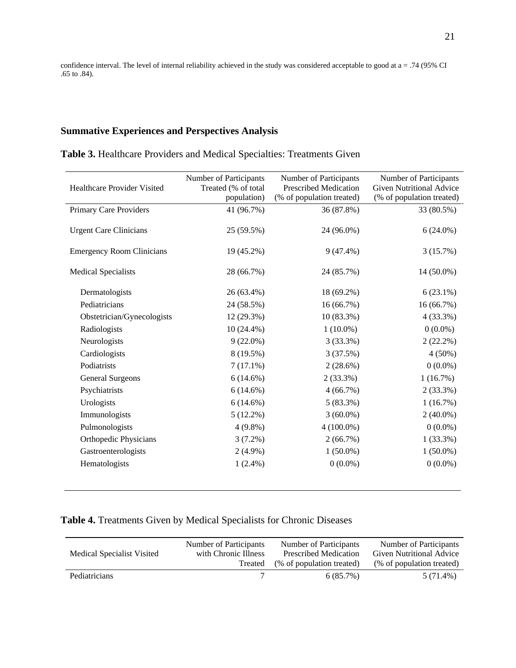confidence interval. The level of internal reliability achieved in the study was considered acceptable to good at a = .74 (95% CI .65 to .84).

### **Summative Experiences and Perspectives Analysis**

|  |  |  |  | Table 3. Healthcare Providers and Medical Specialties: Treatments Given |  |  |
|--|--|--|--|-------------------------------------------------------------------------|--|--|
|--|--|--|--|-------------------------------------------------------------------------|--|--|

| <b>Healthcare Provider Visited</b> | Number of Participants<br>Treated (% of total<br>population) | Number of Participants<br><b>Prescribed Medication</b><br>(% of population treated) | Number of Participants<br><b>Given Nutritional Advice</b><br>(% of population treated) |
|------------------------------------|--------------------------------------------------------------|-------------------------------------------------------------------------------------|----------------------------------------------------------------------------------------|
| <b>Primary Care Providers</b>      | 41 (96.7%)                                                   | 36 (87.8%)                                                                          | 33 (80.5%)                                                                             |
| <b>Urgent Care Clinicians</b>      | 25 (59.5%)                                                   | 24 (96.0%)                                                                          | $6(24.0\%)$                                                                            |
| <b>Emergency Room Clinicians</b>   | 19 (45.2%)                                                   | $9(47.4\%)$                                                                         | 3(15.7%)                                                                               |
| <b>Medical Specialists</b>         | 28 (66.7%)                                                   | 24 (85.7%)                                                                          | 14 (50.0%)                                                                             |
| Dermatologists                     | 26 (63.4%)                                                   | 18 (69.2%)                                                                          | $6(23.1\%)$                                                                            |
| Pediatricians                      | 24 (58.5%)                                                   | 16 (66.7%)                                                                          | 16 (66.7%)                                                                             |
| Obstetrician/Gynecologists         | 12 (29.3%)                                                   | $10(83.3\%)$                                                                        | $4(33.3\%)$                                                                            |
| Radiologists                       | $10(24.4\%)$                                                 | $1(10.0\%)$                                                                         | $0(0.0\%)$                                                                             |
| Neurologists                       | $9(22.0\%)$                                                  | 3(33.3%)                                                                            | $2(22.2\%)$                                                                            |
| Cardiologists                      | 8 (19.5%)                                                    | 3(37.5%)                                                                            | $4(50\%)$                                                                              |
| Podiatrists                        | $7(17.1\%)$                                                  | $2(28.6\%)$                                                                         | $0(0.0\%)$                                                                             |
| <b>General Surgeons</b>            | $6(14.6\%)$                                                  | $2(33.3\%)$                                                                         | 1(16.7%)                                                                               |
| Psychiatrists                      | $6(14.6\%)$                                                  | 4(66.7%)                                                                            | $2(33.3\%)$                                                                            |
| Urologists                         | $6(14.6\%)$                                                  | $5(83.3\%)$                                                                         | 1(16.7%)                                                                               |
| Immunologists                      | $5(12.2\%)$                                                  | $3(60.0\%)$                                                                         | $2(40.0\%)$                                                                            |
| Pulmonologists                     | $4(9.8\%)$                                                   | $4(100.0\%)$                                                                        | $0(0.0\%)$                                                                             |
| <b>Orthopedic Physicians</b>       | $3(7.2\%)$                                                   | 2(66.7%)                                                                            | $1(33.3\%)$                                                                            |
| Gastroenterologists                | $2(4.9\%)$                                                   | $1(50.0\%)$                                                                         | $1(50.0\%)$                                                                            |
| Hematologists                      | $1(2.4\%)$                                                   | $0(0.0\%)$                                                                          | $0(0.0\%)$                                                                             |
|                                    |                                                              |                                                                                     |                                                                                        |

# **Table 4.** Treatments Given by Medical Specialists for Chronic Diseases

| Medical Specialist Visited | Number of Participants<br>with Chronic Illness | Number of Participants<br>Prescribed Medication | Number of Participants<br>Given Nutritional Advice |
|----------------------------|------------------------------------------------|-------------------------------------------------|----------------------------------------------------|
|                            | Treated                                        | (% of population treated)                       | (% of population treated)                          |
| <b>Pediatricians</b>       |                                                | $6(85.7\%)$                                     | 5 (71.4%)                                          |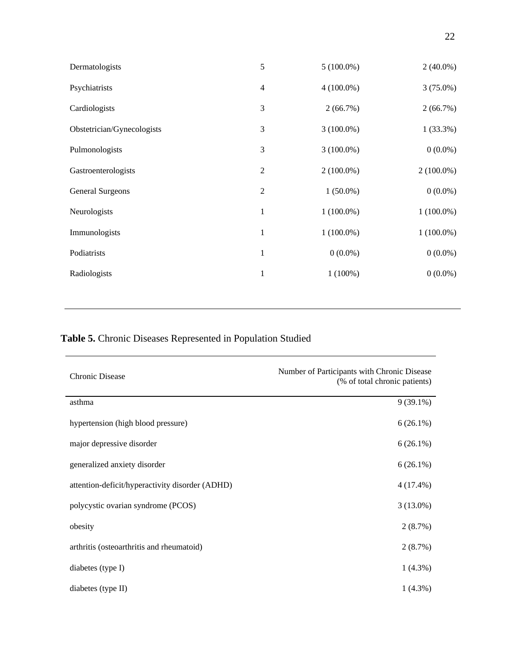| Dermatologists             | 5              | $5(100.0\%)$ | $2(40.0\%)$  |
|----------------------------|----------------|--------------|--------------|
| Psychiatrists              | $\overline{4}$ | $4(100.0\%)$ | $3(75.0\%)$  |
| Cardiologists              | 3              | 2(66.7%)     | 2(66.7%)     |
| Obstetrician/Gynecologists | 3              | $3(100.0\%)$ | 1(33.3%)     |
| Pulmonologists             | 3              | $3(100.0\%)$ | $0(0.0\%)$   |
| Gastroenterologists        | $\mathbf{2}$   | $2(100.0\%)$ | $2(100.0\%)$ |
| <b>General Surgeons</b>    | $\overline{2}$ | $1(50.0\%)$  | $0(0.0\%)$   |
| Neurologists               | $\mathbf{1}$   | $1(100.0\%)$ | $1(100.0\%)$ |
| Immunologists              | $\mathbf{1}$   | $1(100.0\%)$ | $1(100.0\%)$ |
| Podiatrists                | $\mathbf{1}$   | $0(0.0\%)$   | $0(0.0\%)$   |
| Radiologists               | 1              | $1(100\%)$   | $0(0.0\%)$   |
|                            |                |              |              |

# **Table 5.** Chronic Diseases Represented in Population Studied

| <b>Chronic Disease</b>                          | Number of Participants with Chronic Disease<br>(% of total chronic patients) |
|-------------------------------------------------|------------------------------------------------------------------------------|
| asthma                                          | $9(39.1\%)$                                                                  |
| hypertension (high blood pressure)              | $6(26.1\%)$                                                                  |
| major depressive disorder                       | $6(26.1\%)$                                                                  |
| generalized anxiety disorder                    | $6(26.1\%)$                                                                  |
| attention-deficit/hyperactivity disorder (ADHD) | $4(17.4\%)$                                                                  |
| polycystic ovarian syndrome (PCOS)              | $3(13.0\%)$                                                                  |
| obesity                                         | 2(8.7%)                                                                      |
| arthritis (osteoarthritis and rheumatoid)       | 2(8.7%)                                                                      |
| diabetes (type I)                               | $1(4.3\%)$                                                                   |
| diabetes (type II)                              | $1(4.3\%)$                                                                   |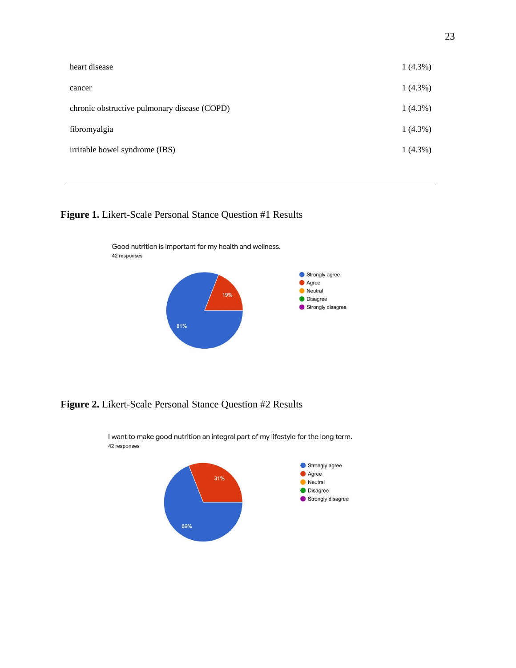| heart disease                                | $1(4.3\%)$ |
|----------------------------------------------|------------|
| cancer                                       | $1(4.3\%)$ |
| chronic obstructive pulmonary disease (COPD) | $1(4.3\%)$ |
| fibromyalgia                                 | $1(4.3\%)$ |
| irritable bowel syndrome (IBS)               | $1(4.3\%)$ |

# **Figure 1.** Likert-Scale Personal Stance Question #1 Results



**Figure 2.** Likert-Scale Personal Stance Question #2 Results



I want to make good nutrition an integral part of my lifestyle for the long term. 42 responses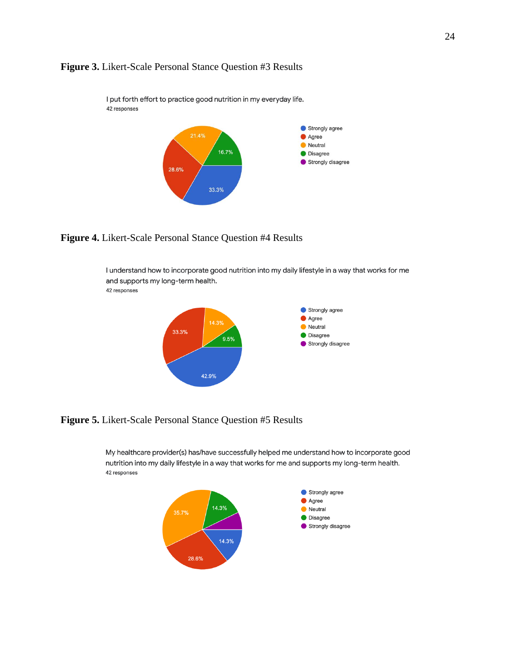



I put forth effort to practice good nutrition in my everyday life. 42 responses

**Figure 4.** Likert-Scale Personal Stance Question #4 Results

I understand how to incorporate good nutrition into my daily lifestyle in a way that works for me and supports my long-term health. 42 responses



**Figure 5.** Likert-Scale Personal Stance Question #5 Results

My healthcare provider(s) has/have successfully helped me understand how to incorporate good nutrition into my daily lifestyle in a way that works for me and supports my long-term health. 42 responses

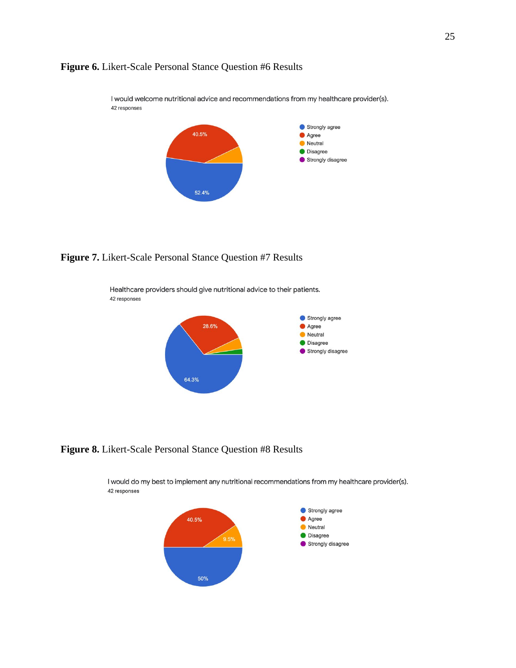



I would welcome nutritional advice and recommendations from my healthcare provider(s). 42 responses



Healthcare providers should give nutritional advice to their patients. 42 responses



**Figure 8.** Likert-Scale Personal Stance Question #8 Results

I would do my best to implement any nutritional recommendations from my healthcare provider(s). 42 responses

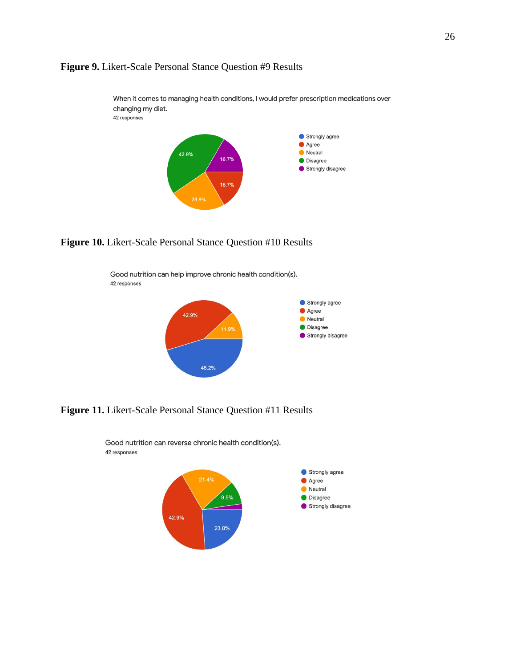



**Figure 10.** Likert-Scale Personal Stance Question #10 Results

Good nutrition can help improve chronic health condition(s). 42 responses



**Figure 11.** Likert-Scale Personal Stance Question #11 Results



Good nutrition can reverse chronic health condition(s). 42 responses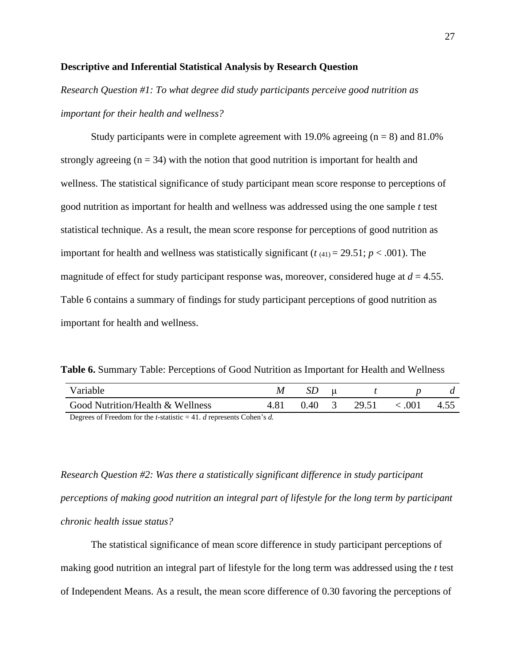#### **Descriptive and Inferential Statistical Analysis by Research Question**

*Research Question #1: To what degree did study participants perceive good nutrition as important for their health and wellness?*

Study participants were in complete agreement with 19.0% agreeing  $(n = 8)$  and 81.0% strongly agreeing  $(n = 34)$  with the notion that good nutrition is important for health and wellness. The statistical significance of study participant mean score response to perceptions of good nutrition as important for health and wellness was addressed using the one sample *t* test statistical technique. As a result, the mean score response for perceptions of good nutrition as important for health and wellness was statistically significant ( $t$   $(41) = 29.51$ ;  $p < .001$ ). The magnitude of effect for study participant response was, moreover, considered huge at  $d = 4.55$ . Table 6 contains a summary of findings for study participant perceptions of good nutrition as important for health and wellness.

**Table 6.** Summary Table: Perceptions of Good Nutrition as Important for Health and Wellness

| Variable                         |      |          |       |         |      |
|----------------------------------|------|----------|-------|---------|------|
| Good Nutrition/Health & Wellness | 4.81 | $0.40 -$ | 29.51 | < 0.001 | 4.55 |

Degrees of Freedom for the *t*-statistic = 41. *d* represents Cohen's *d.*

*Research Question #2: Was there a statistically significant difference in study participant perceptions of making good nutrition an integral part of lifestyle for the long term by participant chronic health issue status?*

The statistical significance of mean score difference in study participant perceptions of making good nutrition an integral part of lifestyle for the long term was addressed using the *t* test of Independent Means. As a result, the mean score difference of 0.30 favoring the perceptions of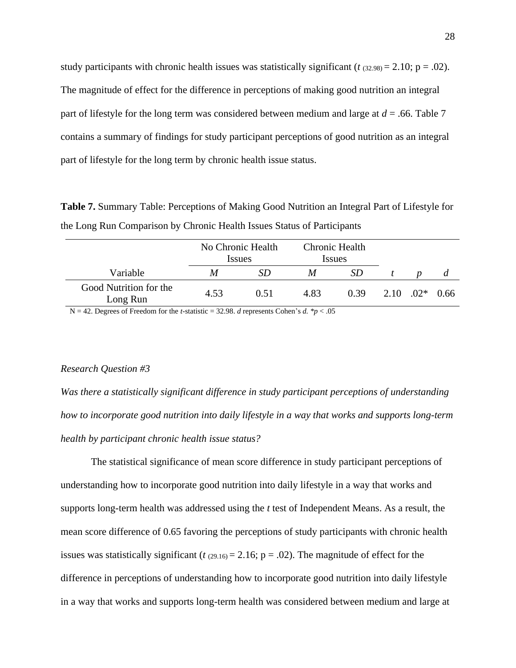study participants with chronic health issues was statistically significant ( $t$  ( $32.98$ ) = 2.10; p = .02). The magnitude of effect for the difference in perceptions of making good nutrition an integral part of lifestyle for the long term was considered between medium and large at  $d = 0.66$ . Table 7 contains a summary of findings for study participant perceptions of good nutrition as an integral part of lifestyle for the long term by chronic health issue status.

**Table 7.** Summary Table: Perceptions of Making Good Nutrition an Integral Part of Lifestyle for the Long Run Comparison by Chronic Health Issues Status of Participants

|                                    | No Chronic Health<br><i>Issues</i> |      | Chronic Health<br><i>Issues</i> |      |                              |   |
|------------------------------------|------------------------------------|------|---------------------------------|------|------------------------------|---|
| Variable                           | M                                  |      | M                               |      |                              | a |
| Good Nutrition for the<br>Long Run | 4.53                               | 0.51 | 4.83                            | 0.39 | $2.10 \quad 02^* \quad 0.66$ |   |

N = 42. Degrees of Freedom for the *t*-statistic = 32.98. *d* represents Cohen's *d.* \**p* < .05

#### *Research Question #3*

*Was there a statistically significant difference in study participant perceptions of understanding how to incorporate good nutrition into daily lifestyle in a way that works and supports long-term health by participant chronic health issue status?*

The statistical significance of mean score difference in study participant perceptions of understanding how to incorporate good nutrition into daily lifestyle in a way that works and supports long-term health was addressed using the *t* test of Independent Means. As a result, the mean score difference of 0.65 favoring the perceptions of study participants with chronic health issues was statistically significant ( $t$   $(29.16) = 2.16$ ; p = .02). The magnitude of effect for the difference in perceptions of understanding how to incorporate good nutrition into daily lifestyle in a way that works and supports long-term health was considered between medium and large at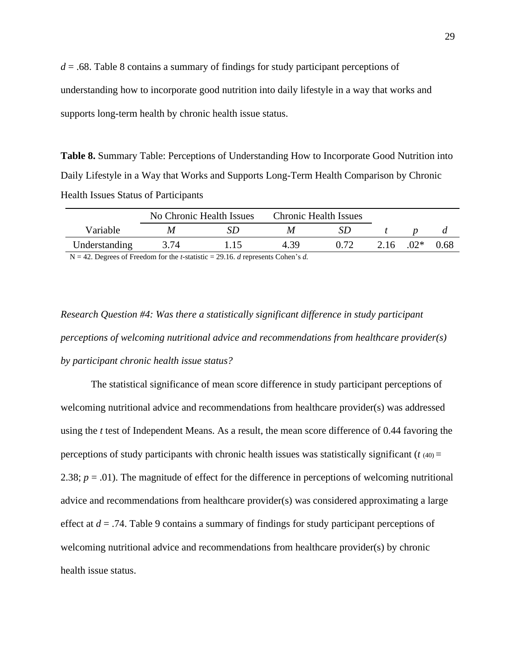*d* = .68. Table 8 contains a summary of findings for study participant perceptions of understanding how to incorporate good nutrition into daily lifestyle in a way that works and supports long-term health by chronic health issue status.

**Table 8.** Summary Table: Perceptions of Understanding How to Incorporate Good Nutrition into Daily Lifestyle in a Way that Works and Supports Long-Term Health Comparison by Chronic Health Issues Status of Participants

|                                      | No Chronic Health Issues |     | <b>Chronic Health Issues</b> |      |      |       |      |
|--------------------------------------|--------------------------|-----|------------------------------|------|------|-------|------|
| Variable                             | M                        |     |                              |      |      |       |      |
| Understanding                        | 3.74                     | -15 | 4 39                         | 0.72 | 2.16 | $02*$ | 0.68 |
| $\mathbf{r}$<br>$\sim$ $\sim$ $\sim$ |                          |     | .                            |      |      |       |      |

N = 42. Degrees of Freedom for the *t*-statistic = 29.16. *d* represents Cohen's *d.*

*Research Question #4: Was there a statistically significant difference in study participant perceptions of welcoming nutritional advice and recommendations from healthcare provider(s) by participant chronic health issue status?*

The statistical significance of mean score difference in study participant perceptions of welcoming nutritional advice and recommendations from healthcare provider(s) was addressed using the *t* test of Independent Means. As a result, the mean score difference of 0.44 favoring the perceptions of study participants with chronic health issues was statistically significant  $(t_{(40)} =$ 2.38;  $p = .01$ ). The magnitude of effect for the difference in perceptions of welcoming nutritional advice and recommendations from healthcare provider(s) was considered approximating a large effect at *d* = .74. Table 9 contains a summary of findings for study participant perceptions of welcoming nutritional advice and recommendations from healthcare provider(s) by chronic health issue status.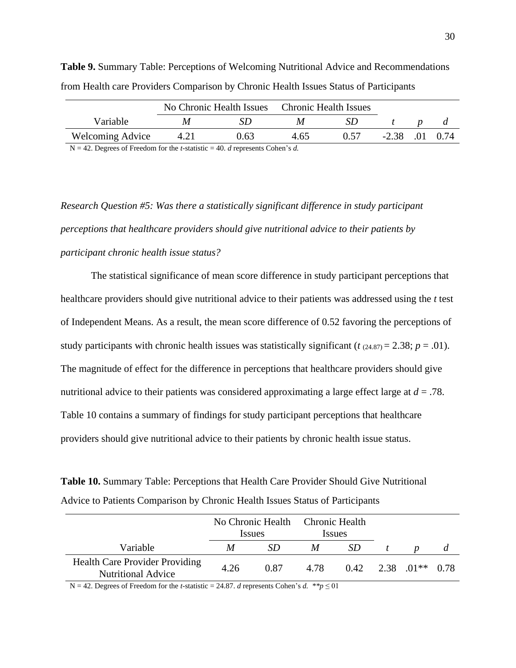|                         | No Chronic Health Issues |      | <b>Chronic Health Issues</b> |  |         |     |      |
|-------------------------|--------------------------|------|------------------------------|--|---------|-----|------|
| Variable                |                          |      |                              |  |         |     |      |
| <b>Welcoming Advice</b> |                          | 0.63 | 4.65                         |  | $-2.38$ | .01 | 0.74 |

**Table 9.** Summary Table: Perceptions of Welcoming Nutritional Advice and Recommendations from Health care Providers Comparison by Chronic Health Issues Status of Participants

N = 42. Degrees of Freedom for the *t*-statistic = 40. *d* represents Cohen's *d.*

*Research Question #5: Was there a statistically significant difference in study participant perceptions that healthcare providers should give nutritional advice to their patients by participant chronic health issue status?*

The statistical significance of mean score difference in study participant perceptions that healthcare providers should give nutritional advice to their patients was addressed using the *t* test of Independent Means. As a result, the mean score difference of 0.52 favoring the perceptions of study participants with chronic health issues was statistically significant ( $t$  (24.87) = 2.38;  $p = .01$ ). The magnitude of effect for the difference in perceptions that healthcare providers should give nutritional advice to their patients was considered approximating a large effect large at *d* = .78. Table 10 contains a summary of findings for study participant perceptions that healthcare providers should give nutritional advice to their patients by chronic health issue status.

**Table 10.** Summary Table: Perceptions that Health Care Provider Should Give Nutritional Advice to Patients Comparison by Chronic Health Issues Status of Participants

|                                                                    | No Chronic Health Chronic Health<br><i>Issues</i> |      | <i>Issues</i> |     |                             |  |
|--------------------------------------------------------------------|---------------------------------------------------|------|---------------|-----|-----------------------------|--|
| Variable                                                           | M                                                 | SD   | M             | -SD |                             |  |
| <b>Health Care Provider Providing</b><br><b>Nutritional Advice</b> | 4.26                                              | 0.87 | 4.78          |     | $0.42$ $2.38$ $01**$ $0.78$ |  |

N = 42. Degrees of Freedom for the *t*-statistic = 24.87. *d* represents Cohen's *d.* \*\**p*  $\leq$  01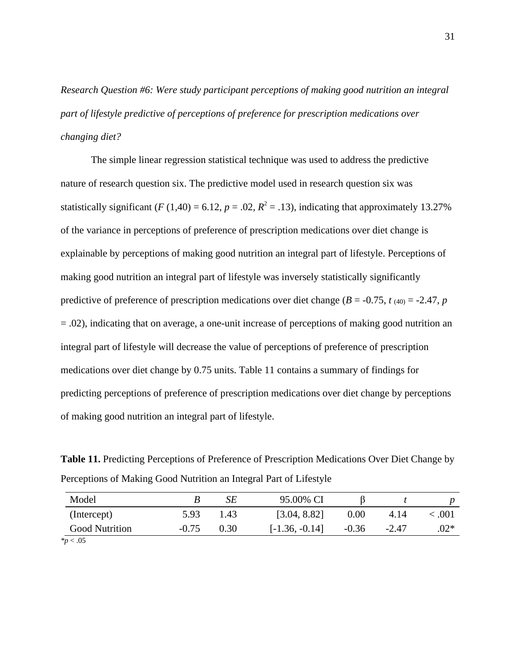*Research Question #6: Were study participant perceptions of making good nutrition an integral part of lifestyle predictive of perceptions of preference for prescription medications over changing diet?*

The simple linear regression statistical technique was used to address the predictive nature of research question six. The predictive model used in research question six was statistically significant (*F* (1,40) = 6.12,  $p = .02$ ,  $R^2 = .13$ ), indicating that approximately 13.27% of the variance in perceptions of preference of prescription medications over diet change is explainable by perceptions of making good nutrition an integral part of lifestyle. Perceptions of making good nutrition an integral part of lifestyle was inversely statistically significantly predictive of preference of prescription medications over diet change ( $B = -0.75$ ,  $t_{(40)} = -2.47$ ,  $p$ ) = .02), indicating that on average, a one-unit increase of perceptions of making good nutrition an integral part of lifestyle will decrease the value of perceptions of preference of prescription medications over diet change by 0.75 units. Table 11 contains a summary of findings for predicting perceptions of preference of prescription medications over diet change by perceptions of making good nutrition an integral part of lifestyle.

**Table 11.** Predicting Perceptions of Preference of Prescription Medications Over Diet Change by Perceptions of Making Good Nutrition an Integral Part of Lifestyle

| Model                   |         | SЕ   | 95.00% CI        |         |       |         |
|-------------------------|---------|------|------------------|---------|-------|---------|
| (Intercept)             | 5.93    | 1.43 | [3.04, 8.82]     | 0.00    | 4.14  | < 0.001 |
| <b>Good Nutrition</b>   | $-0.75$ | 0.30 | $[-1.36, -0.14]$ | $-0.36$ | -2.47 | $.02*$  |
| $*_{\mathcal{D}} < .05$ |         |      |                  |         |       |         |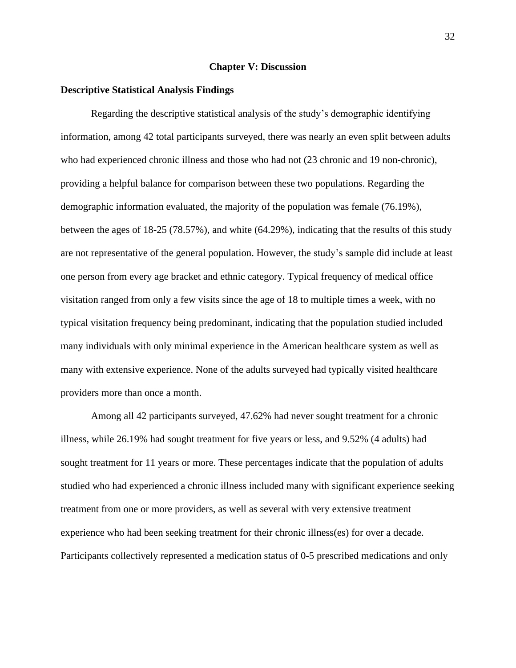#### **Chapter V: Discussion**

#### **Descriptive Statistical Analysis Findings**

Regarding the descriptive statistical analysis of the study's demographic identifying information, among 42 total participants surveyed, there was nearly an even split between adults who had experienced chronic illness and those who had not  $(23 \text{ chronic and } 19 \text{ non-chronic})$ , providing a helpful balance for comparison between these two populations. Regarding the demographic information evaluated, the majority of the population was female (76.19%), between the ages of 18-25 (78.57%), and white (64.29%), indicating that the results of this study are not representative of the general population. However, the study's sample did include at least one person from every age bracket and ethnic category. Typical frequency of medical office visitation ranged from only a few visits since the age of 18 to multiple times a week, with no typical visitation frequency being predominant, indicating that the population studied included many individuals with only minimal experience in the American healthcare system as well as many with extensive experience. None of the adults surveyed had typically visited healthcare providers more than once a month.

Among all 42 participants surveyed, 47.62% had never sought treatment for a chronic illness, while 26.19% had sought treatment for five years or less, and 9.52% (4 adults) had sought treatment for 11 years or more. These percentages indicate that the population of adults studied who had experienced a chronic illness included many with significant experience seeking treatment from one or more providers, as well as several with very extensive treatment experience who had been seeking treatment for their chronic illness(es) for over a decade. Participants collectively represented a medication status of 0-5 prescribed medications and only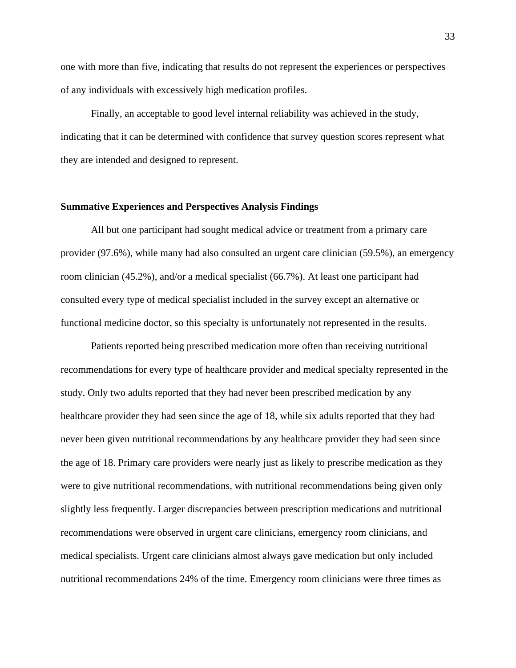one with more than five, indicating that results do not represent the experiences or perspectives of any individuals with excessively high medication profiles.

Finally, an acceptable to good level internal reliability was achieved in the study, indicating that it can be determined with confidence that survey question scores represent what they are intended and designed to represent.

#### **Summative Experiences and Perspectives Analysis Findings**

All but one participant had sought medical advice or treatment from a primary care provider (97.6%), while many had also consulted an urgent care clinician (59.5%), an emergency room clinician (45.2%), and/or a medical specialist (66.7%). At least one participant had consulted every type of medical specialist included in the survey except an alternative or functional medicine doctor, so this specialty is unfortunately not represented in the results.

Patients reported being prescribed medication more often than receiving nutritional recommendations for every type of healthcare provider and medical specialty represented in the study. Only two adults reported that they had never been prescribed medication by any healthcare provider they had seen since the age of 18, while six adults reported that they had never been given nutritional recommendations by any healthcare provider they had seen since the age of 18. Primary care providers were nearly just as likely to prescribe medication as they were to give nutritional recommendations, with nutritional recommendations being given only slightly less frequently. Larger discrepancies between prescription medications and nutritional recommendations were observed in urgent care clinicians, emergency room clinicians, and medical specialists. Urgent care clinicians almost always gave medication but only included nutritional recommendations 24% of the time. Emergency room clinicians were three times as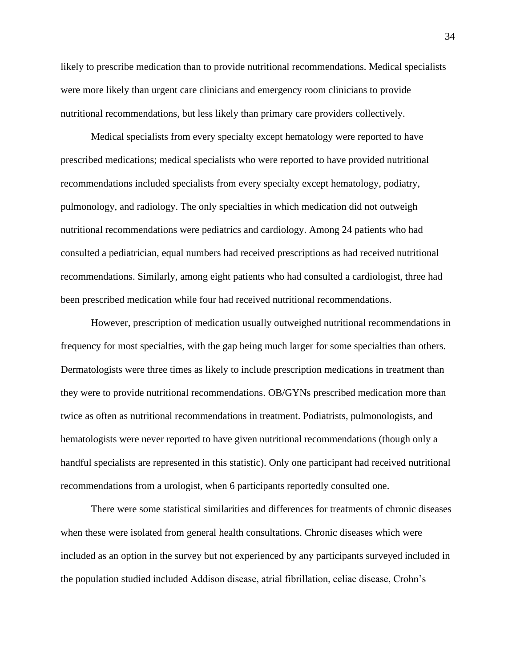likely to prescribe medication than to provide nutritional recommendations. Medical specialists were more likely than urgent care clinicians and emergency room clinicians to provide nutritional recommendations, but less likely than primary care providers collectively.

Medical specialists from every specialty except hematology were reported to have prescribed medications; medical specialists who were reported to have provided nutritional recommendations included specialists from every specialty except hematology, podiatry, pulmonology, and radiology. The only specialties in which medication did not outweigh nutritional recommendations were pediatrics and cardiology. Among 24 patients who had consulted a pediatrician, equal numbers had received prescriptions as had received nutritional recommendations. Similarly, among eight patients who had consulted a cardiologist, three had been prescribed medication while four had received nutritional recommendations.

However, prescription of medication usually outweighed nutritional recommendations in frequency for most specialties, with the gap being much larger for some specialties than others. Dermatologists were three times as likely to include prescription medications in treatment than they were to provide nutritional recommendations. OB/GYNs prescribed medication more than twice as often as nutritional recommendations in treatment. Podiatrists, pulmonologists, and hematologists were never reported to have given nutritional recommendations (though only a handful specialists are represented in this statistic). Only one participant had received nutritional recommendations from a urologist, when 6 participants reportedly consulted one.

There were some statistical similarities and differences for treatments of chronic diseases when these were isolated from general health consultations. Chronic diseases which were included as an option in the survey but not experienced by any participants surveyed included in the population studied included Addison disease, atrial fibrillation, celiac disease, Crohn's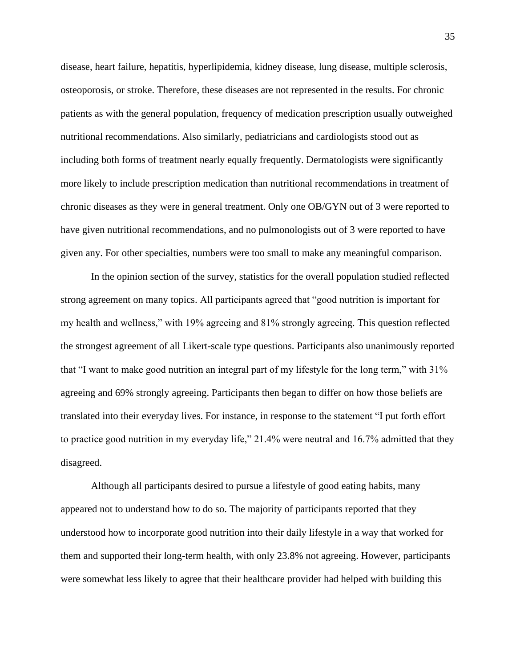disease, heart failure, hepatitis, hyperlipidemia, kidney disease, lung disease, multiple sclerosis, osteoporosis, or stroke. Therefore, these diseases are not represented in the results. For chronic patients as with the general population, frequency of medication prescription usually outweighed nutritional recommendations. Also similarly, pediatricians and cardiologists stood out as including both forms of treatment nearly equally frequently. Dermatologists were significantly more likely to include prescription medication than nutritional recommendations in treatment of chronic diseases as they were in general treatment. Only one OB/GYN out of 3 were reported to have given nutritional recommendations, and no pulmonologists out of 3 were reported to have given any. For other specialties, numbers were too small to make any meaningful comparison.

In the opinion section of the survey, statistics for the overall population studied reflected strong agreement on many topics. All participants agreed that "good nutrition is important for my health and wellness," with 19% agreeing and 81% strongly agreeing. This question reflected the strongest agreement of all Likert-scale type questions. Participants also unanimously reported that "I want to make good nutrition an integral part of my lifestyle for the long term," with 31% agreeing and 69% strongly agreeing. Participants then began to differ on how those beliefs are translated into their everyday lives. For instance, in response to the statement "I put forth effort to practice good nutrition in my everyday life," 21.4% were neutral and 16.7% admitted that they disagreed.

Although all participants desired to pursue a lifestyle of good eating habits, many appeared not to understand how to do so. The majority of participants reported that they understood how to incorporate good nutrition into their daily lifestyle in a way that worked for them and supported their long-term health, with only 23.8% not agreeing. However, participants were somewhat less likely to agree that their healthcare provider had helped with building this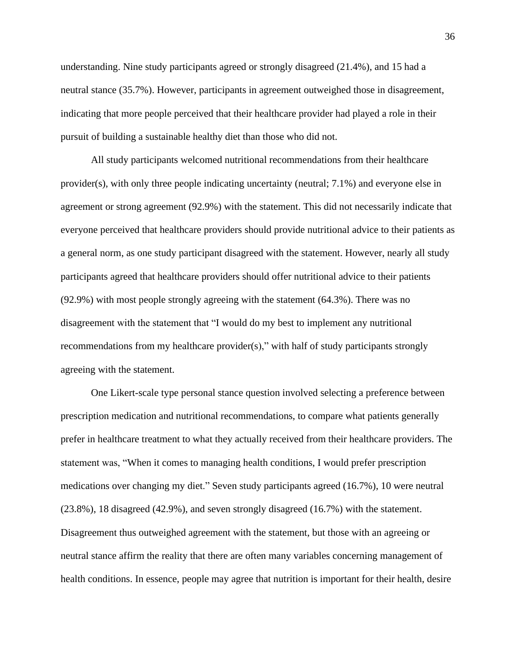understanding. Nine study participants agreed or strongly disagreed (21.4%), and 15 had a neutral stance (35.7%). However, participants in agreement outweighed those in disagreement, indicating that more people perceived that their healthcare provider had played a role in their pursuit of building a sustainable healthy diet than those who did not.

All study participants welcomed nutritional recommendations from their healthcare provider(s), with only three people indicating uncertainty (neutral; 7.1%) and everyone else in agreement or strong agreement (92.9%) with the statement. This did not necessarily indicate that everyone perceived that healthcare providers should provide nutritional advice to their patients as a general norm, as one study participant disagreed with the statement. However, nearly all study participants agreed that healthcare providers should offer nutritional advice to their patients (92.9%) with most people strongly agreeing with the statement (64.3%). There was no disagreement with the statement that "I would do my best to implement any nutritional recommendations from my healthcare provider(s)," with half of study participants strongly agreeing with the statement.

One Likert-scale type personal stance question involved selecting a preference between prescription medication and nutritional recommendations, to compare what patients generally prefer in healthcare treatment to what they actually received from their healthcare providers. The statement was, "When it comes to managing health conditions, I would prefer prescription medications over changing my diet." Seven study participants agreed (16.7%), 10 were neutral (23.8%), 18 disagreed (42.9%), and seven strongly disagreed (16.7%) with the statement. Disagreement thus outweighed agreement with the statement, but those with an agreeing or neutral stance affirm the reality that there are often many variables concerning management of health conditions. In essence, people may agree that nutrition is important for their health, desire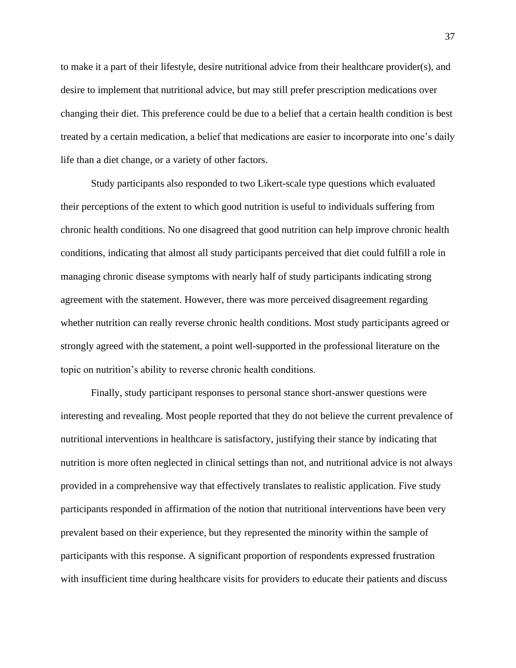to make it a part of their lifestyle, desire nutritional advice from their healthcare provider(s), and desire to implement that nutritional advice, but may still prefer prescription medications over changing their diet. This preference could be due to a belief that a certain health condition is best treated by a certain medication, a belief that medications are easier to incorporate into one's daily life than a diet change, or a variety of other factors.

Study participants also responded to two Likert-scale type questions which evaluated their perceptions of the extent to which good nutrition is useful to individuals suffering from chronic health conditions. No one disagreed that good nutrition can help improve chronic health conditions, indicating that almost all study participants perceived that diet could fulfill a role in managing chronic disease symptoms with nearly half of study participants indicating strong agreement with the statement. However, there was more perceived disagreement regarding whether nutrition can really reverse chronic health conditions. Most study participants agreed or strongly agreed with the statement, a point well-supported in the professional literature on the topic on nutrition's ability to reverse chronic health conditions.

Finally, study participant responses to personal stance short-answer questions were interesting and revealing. Most people reported that they do not believe the current prevalence of nutritional interventions in healthcare is satisfactory, justifying their stance by indicating that nutrition is more often neglected in clinical settings than not, and nutritional advice is not always provided in a comprehensive way that effectively translates to realistic application. Five study participants responded in affirmation of the notion that nutritional interventions have been very prevalent based on their experience, but they represented the minority within the sample of participants with this response. A significant proportion of respondents expressed frustration with insufficient time during healthcare visits for providers to educate their patients and discuss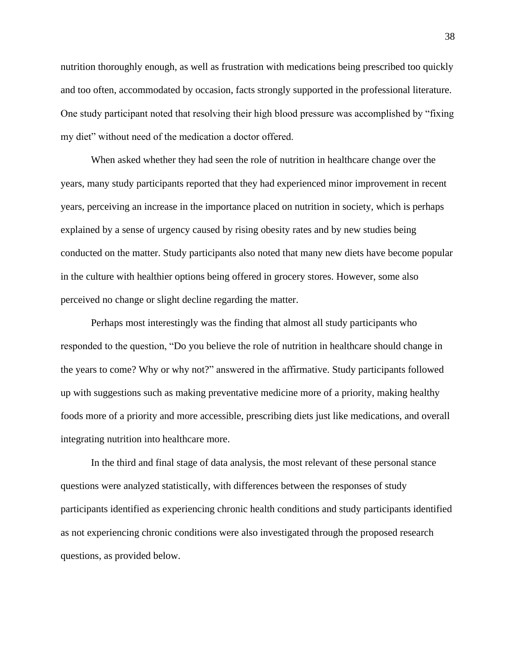nutrition thoroughly enough, as well as frustration with medications being prescribed too quickly and too often, accommodated by occasion, facts strongly supported in the professional literature. One study participant noted that resolving their high blood pressure was accomplished by "fixing my diet" without need of the medication a doctor offered.

When asked whether they had seen the role of nutrition in healthcare change over the years, many study participants reported that they had experienced minor improvement in recent years, perceiving an increase in the importance placed on nutrition in society, which is perhaps explained by a sense of urgency caused by rising obesity rates and by new studies being conducted on the matter. Study participants also noted that many new diets have become popular in the culture with healthier options being offered in grocery stores. However, some also perceived no change or slight decline regarding the matter.

Perhaps most interestingly was the finding that almost all study participants who responded to the question, "Do you believe the role of nutrition in healthcare should change in the years to come? Why or why not?" answered in the affirmative. Study participants followed up with suggestions such as making preventative medicine more of a priority, making healthy foods more of a priority and more accessible, prescribing diets just like medications, and overall integrating nutrition into healthcare more.

In the third and final stage of data analysis, the most relevant of these personal stance questions were analyzed statistically, with differences between the responses of study participants identified as experiencing chronic health conditions and study participants identified as not experiencing chronic conditions were also investigated through the proposed research questions, as provided below.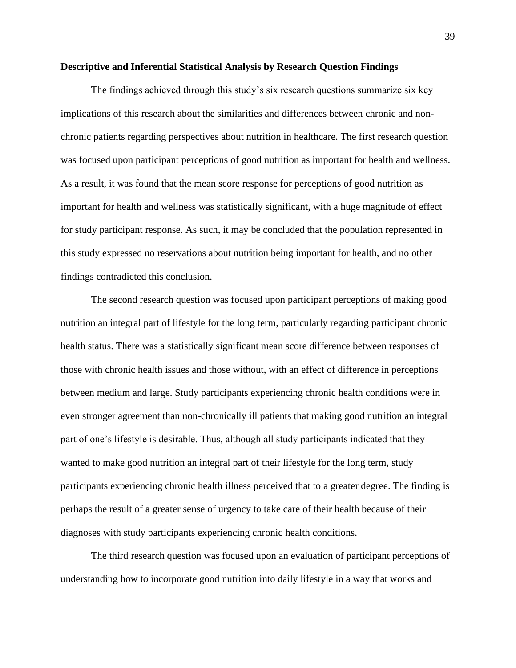#### **Descriptive and Inferential Statistical Analysis by Research Question Findings**

The findings achieved through this study's six research questions summarize six key implications of this research about the similarities and differences between chronic and nonchronic patients regarding perspectives about nutrition in healthcare. The first research question was focused upon participant perceptions of good nutrition as important for health and wellness. As a result, it was found that the mean score response for perceptions of good nutrition as important for health and wellness was statistically significant, with a huge magnitude of effect for study participant response. As such, it may be concluded that the population represented in this study expressed no reservations about nutrition being important for health, and no other findings contradicted this conclusion.

The second research question was focused upon participant perceptions of making good nutrition an integral part of lifestyle for the long term, particularly regarding participant chronic health status. There was a statistically significant mean score difference between responses of those with chronic health issues and those without, with an effect of difference in perceptions between medium and large. Study participants experiencing chronic health conditions were in even stronger agreement than non-chronically ill patients that making good nutrition an integral part of one's lifestyle is desirable. Thus, although all study participants indicated that they wanted to make good nutrition an integral part of their lifestyle for the long term, study participants experiencing chronic health illness perceived that to a greater degree. The finding is perhaps the result of a greater sense of urgency to take care of their health because of their diagnoses with study participants experiencing chronic health conditions.

The third research question was focused upon an evaluation of participant perceptions of understanding how to incorporate good nutrition into daily lifestyle in a way that works and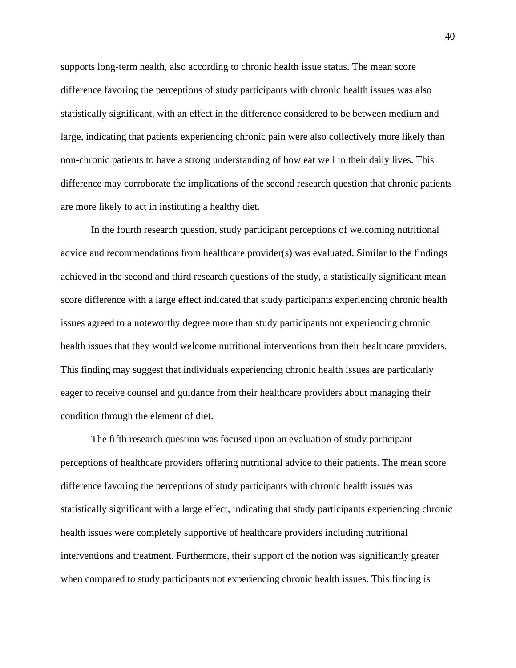supports long-term health, also according to chronic health issue status. The mean score difference favoring the perceptions of study participants with chronic health issues was also statistically significant, with an effect in the difference considered to be between medium and large, indicating that patients experiencing chronic pain were also collectively more likely than non-chronic patients to have a strong understanding of how eat well in their daily lives. This difference may corroborate the implications of the second research question that chronic patients are more likely to act in instituting a healthy diet.

In the fourth research question, study participant perceptions of welcoming nutritional advice and recommendations from healthcare provider(s) was evaluated. Similar to the findings achieved in the second and third research questions of the study, a statistically significant mean score difference with a large effect indicated that study participants experiencing chronic health issues agreed to a noteworthy degree more than study participants not experiencing chronic health issues that they would welcome nutritional interventions from their healthcare providers. This finding may suggest that individuals experiencing chronic health issues are particularly eager to receive counsel and guidance from their healthcare providers about managing their condition through the element of diet.

The fifth research question was focused upon an evaluation of study participant perceptions of healthcare providers offering nutritional advice to their patients. The mean score difference favoring the perceptions of study participants with chronic health issues was statistically significant with a large effect, indicating that study participants experiencing chronic health issues were completely supportive of healthcare providers including nutritional interventions and treatment. Furthermore, their support of the notion was significantly greater when compared to study participants not experiencing chronic health issues. This finding is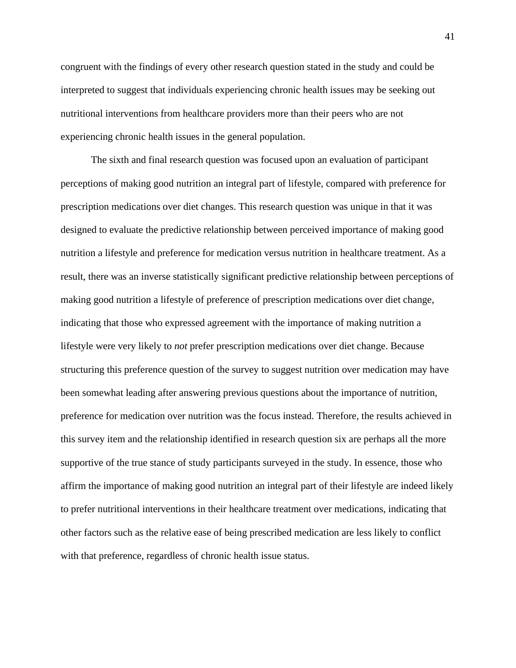congruent with the findings of every other research question stated in the study and could be interpreted to suggest that individuals experiencing chronic health issues may be seeking out nutritional interventions from healthcare providers more than their peers who are not experiencing chronic health issues in the general population.

The sixth and final research question was focused upon an evaluation of participant perceptions of making good nutrition an integral part of lifestyle, compared with preference for prescription medications over diet changes. This research question was unique in that it was designed to evaluate the predictive relationship between perceived importance of making good nutrition a lifestyle and preference for medication versus nutrition in healthcare treatment. As a result, there was an inverse statistically significant predictive relationship between perceptions of making good nutrition a lifestyle of preference of prescription medications over diet change, indicating that those who expressed agreement with the importance of making nutrition a lifestyle were very likely to *not* prefer prescription medications over diet change. Because structuring this preference question of the survey to suggest nutrition over medication may have been somewhat leading after answering previous questions about the importance of nutrition, preference for medication over nutrition was the focus instead. Therefore, the results achieved in this survey item and the relationship identified in research question six are perhaps all the more supportive of the true stance of study participants surveyed in the study. In essence, those who affirm the importance of making good nutrition an integral part of their lifestyle are indeed likely to prefer nutritional interventions in their healthcare treatment over medications, indicating that other factors such as the relative ease of being prescribed medication are less likely to conflict with that preference, regardless of chronic health issue status.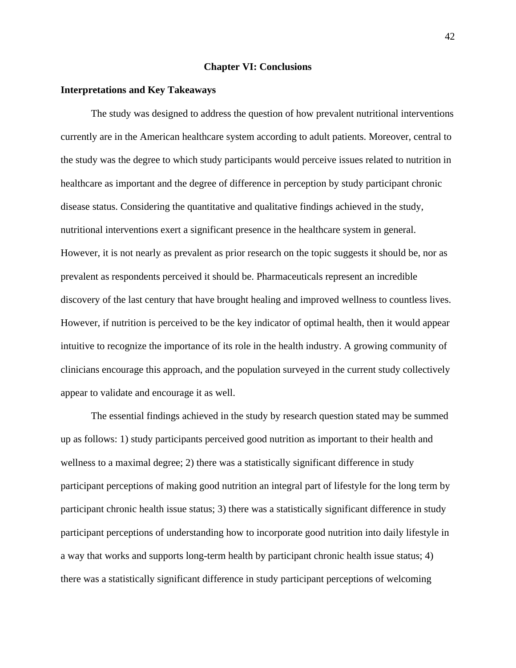#### **Chapter VI: Conclusions**

#### **Interpretations and Key Takeaways**

The study was designed to address the question of how prevalent nutritional interventions currently are in the American healthcare system according to adult patients. Moreover, central to the study was the degree to which study participants would perceive issues related to nutrition in healthcare as important and the degree of difference in perception by study participant chronic disease status. Considering the quantitative and qualitative findings achieved in the study, nutritional interventions exert a significant presence in the healthcare system in general. However, it is not nearly as prevalent as prior research on the topic suggests it should be, nor as prevalent as respondents perceived it should be. Pharmaceuticals represent an incredible discovery of the last century that have brought healing and improved wellness to countless lives. However, if nutrition is perceived to be the key indicator of optimal health, then it would appear intuitive to recognize the importance of its role in the health industry. A growing community of clinicians encourage this approach, and the population surveyed in the current study collectively appear to validate and encourage it as well.

The essential findings achieved in the study by research question stated may be summed up as follows: 1) study participants perceived good nutrition as important to their health and wellness to a maximal degree; 2) there was a statistically significant difference in study participant perceptions of making good nutrition an integral part of lifestyle for the long term by participant chronic health issue status; 3) there was a statistically significant difference in study participant perceptions of understanding how to incorporate good nutrition into daily lifestyle in a way that works and supports long-term health by participant chronic health issue status; 4) there was a statistically significant difference in study participant perceptions of welcoming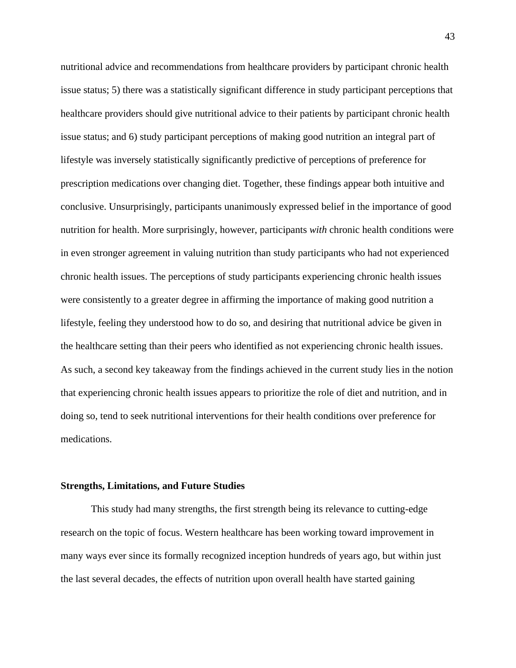nutritional advice and recommendations from healthcare providers by participant chronic health issue status; 5) there was a statistically significant difference in study participant perceptions that healthcare providers should give nutritional advice to their patients by participant chronic health issue status; and 6) study participant perceptions of making good nutrition an integral part of lifestyle was inversely statistically significantly predictive of perceptions of preference for prescription medications over changing diet. Together, these findings appear both intuitive and conclusive. Unsurprisingly, participants unanimously expressed belief in the importance of good nutrition for health. More surprisingly, however, participants *with* chronic health conditions were in even stronger agreement in valuing nutrition than study participants who had not experienced chronic health issues. The perceptions of study participants experiencing chronic health issues were consistently to a greater degree in affirming the importance of making good nutrition a lifestyle, feeling they understood how to do so, and desiring that nutritional advice be given in the healthcare setting than their peers who identified as not experiencing chronic health issues. As such, a second key takeaway from the findings achieved in the current study lies in the notion that experiencing chronic health issues appears to prioritize the role of diet and nutrition, and in doing so, tend to seek nutritional interventions for their health conditions over preference for medications.

#### **Strengths, Limitations, and Future Studies**

This study had many strengths, the first strength being its relevance to cutting-edge research on the topic of focus. Western healthcare has been working toward improvement in many ways ever since its formally recognized inception hundreds of years ago, but within just the last several decades, the effects of nutrition upon overall health have started gaining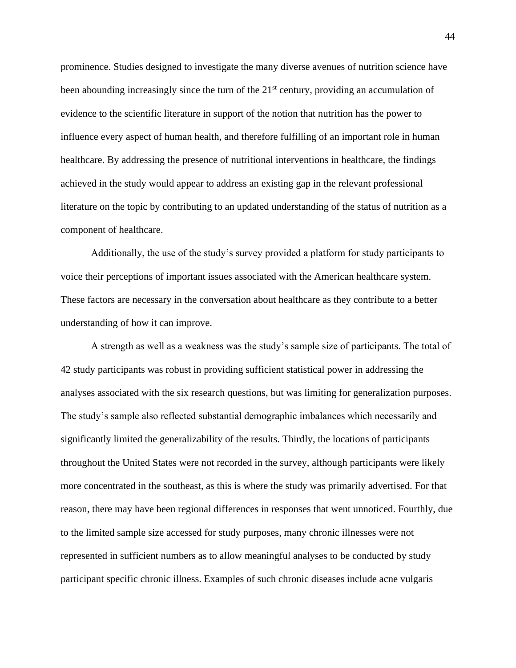prominence. Studies designed to investigate the many diverse avenues of nutrition science have been abounding increasingly since the turn of the  $21<sup>st</sup>$  century, providing an accumulation of evidence to the scientific literature in support of the notion that nutrition has the power to influence every aspect of human health, and therefore fulfilling of an important role in human healthcare. By addressing the presence of nutritional interventions in healthcare, the findings achieved in the study would appear to address an existing gap in the relevant professional literature on the topic by contributing to an updated understanding of the status of nutrition as a component of healthcare.

Additionally, the use of the study's survey provided a platform for study participants to voice their perceptions of important issues associated with the American healthcare system. These factors are necessary in the conversation about healthcare as they contribute to a better understanding of how it can improve.

A strength as well as a weakness was the study's sample size of participants. The total of 42 study participants was robust in providing sufficient statistical power in addressing the analyses associated with the six research questions, but was limiting for generalization purposes. The study's sample also reflected substantial demographic imbalances which necessarily and significantly limited the generalizability of the results. Thirdly, the locations of participants throughout the United States were not recorded in the survey, although participants were likely more concentrated in the southeast, as this is where the study was primarily advertised. For that reason, there may have been regional differences in responses that went unnoticed. Fourthly, due to the limited sample size accessed for study purposes, many chronic illnesses were not represented in sufficient numbers as to allow meaningful analyses to be conducted by study participant specific chronic illness. Examples of such chronic diseases include acne vulgaris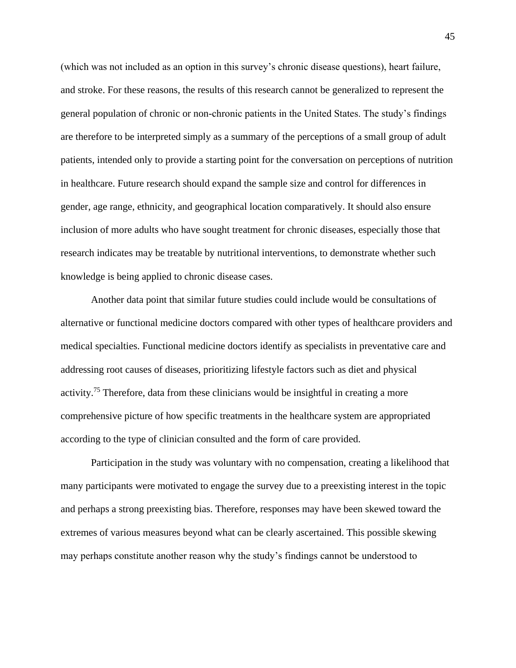(which was not included as an option in this survey's chronic disease questions), heart failure, and stroke. For these reasons, the results of this research cannot be generalized to represent the general population of chronic or non-chronic patients in the United States. The study's findings are therefore to be interpreted simply as a summary of the perceptions of a small group of adult patients, intended only to provide a starting point for the conversation on perceptions of nutrition in healthcare. Future research should expand the sample size and control for differences in gender, age range, ethnicity, and geographical location comparatively. It should also ensure inclusion of more adults who have sought treatment for chronic diseases, especially those that research indicates may be treatable by nutritional interventions, to demonstrate whether such knowledge is being applied to chronic disease cases.

Another data point that similar future studies could include would be consultations of alternative or functional medicine doctors compared with other types of healthcare providers and medical specialties. Functional medicine doctors identify as specialists in preventative care and addressing root causes of diseases, prioritizing lifestyle factors such as diet and physical activity.<sup>75</sup> Therefore, data from these clinicians would be insightful in creating a more comprehensive picture of how specific treatments in the healthcare system are appropriated according to the type of clinician consulted and the form of care provided.

Participation in the study was voluntary with no compensation, creating a likelihood that many participants were motivated to engage the survey due to a preexisting interest in the topic and perhaps a strong preexisting bias. Therefore, responses may have been skewed toward the extremes of various measures beyond what can be clearly ascertained. This possible skewing may perhaps constitute another reason why the study's findings cannot be understood to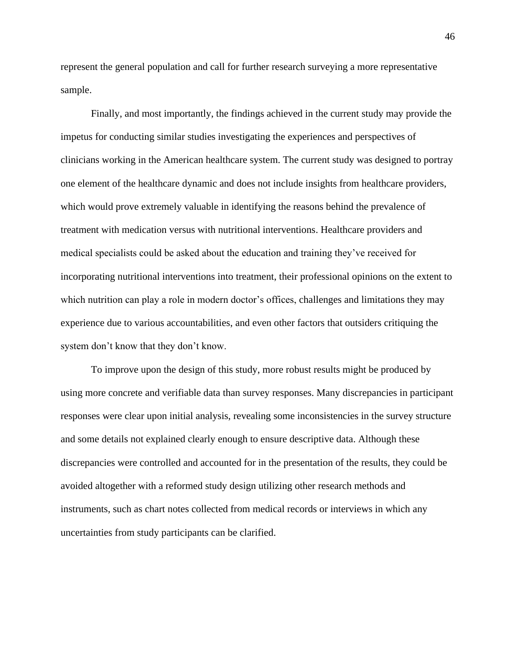represent the general population and call for further research surveying a more representative sample.

Finally, and most importantly, the findings achieved in the current study may provide the impetus for conducting similar studies investigating the experiences and perspectives of clinicians working in the American healthcare system. The current study was designed to portray one element of the healthcare dynamic and does not include insights from healthcare providers, which would prove extremely valuable in identifying the reasons behind the prevalence of treatment with medication versus with nutritional interventions. Healthcare providers and medical specialists could be asked about the education and training they've received for incorporating nutritional interventions into treatment, their professional opinions on the extent to which nutrition can play a role in modern doctor's offices, challenges and limitations they may experience due to various accountabilities, and even other factors that outsiders critiquing the system don't know that they don't know.

To improve upon the design of this study, more robust results might be produced by using more concrete and verifiable data than survey responses. Many discrepancies in participant responses were clear upon initial analysis, revealing some inconsistencies in the survey structure and some details not explained clearly enough to ensure descriptive data. Although these discrepancies were controlled and accounted for in the presentation of the results, they could be avoided altogether with a reformed study design utilizing other research methods and instruments, such as chart notes collected from medical records or interviews in which any uncertainties from study participants can be clarified.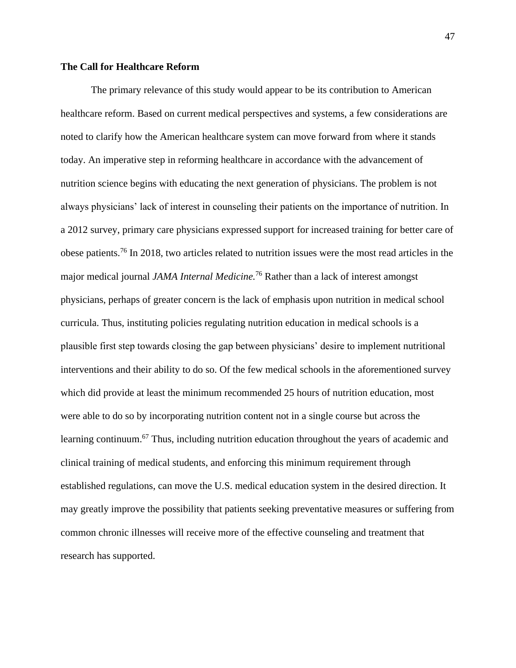#### **The Call for Healthcare Reform**

The primary relevance of this study would appear to be its contribution to American healthcare reform. Based on current medical perspectives and systems, a few considerations are noted to clarify how the American healthcare system can move forward from where it stands today. An imperative step in reforming healthcare in accordance with the advancement of nutrition science begins with educating the next generation of physicians. The problem is not always physicians' lack of interest in counseling their patients on the importance of nutrition. In a 2012 survey, primary care physicians expressed support for increased training for better care of obese patients.<sup>76</sup> In 2018, two articles related to nutrition issues were the most read articles in the major medical journal *JAMA Internal Medicine.*<sup>76</sup> Rather than a lack of interest amongst physicians, perhaps of greater concern is the lack of emphasis upon nutrition in medical school curricula. Thus, instituting policies regulating nutrition education in medical schools is a plausible first step towards closing the gap between physicians' desire to implement nutritional interventions and their ability to do so. Of the few medical schools in the aforementioned survey which did provide at least the minimum recommended 25 hours of nutrition education, most were able to do so by incorporating nutrition content not in a single course but across the learning continuum.<sup>67</sup> Thus, including nutrition education throughout the years of academic and clinical training of medical students, and enforcing this minimum requirement through established regulations, can move the U.S. medical education system in the desired direction. It may greatly improve the possibility that patients seeking preventative measures or suffering from common chronic illnesses will receive more of the effective counseling and treatment that research has supported.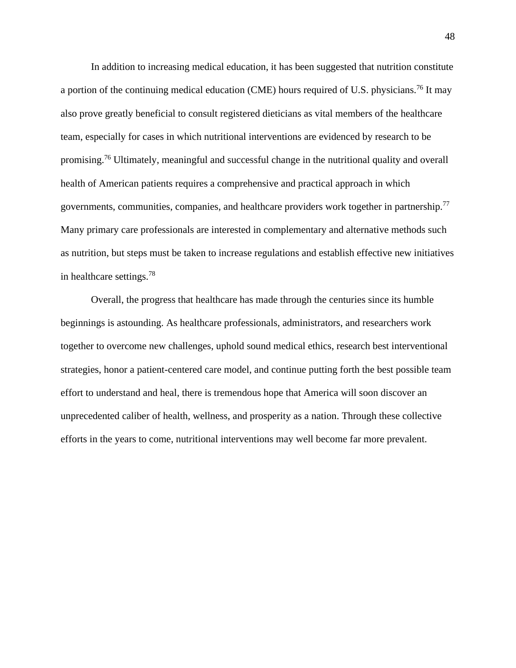In addition to increasing medical education, it has been suggested that nutrition constitute a portion of the continuing medical education (CME) hours required of U.S. physicians.<sup>76</sup> It may also prove greatly beneficial to consult registered dieticians as vital members of the healthcare team, especially for cases in which nutritional interventions are evidenced by research to be promising.<sup>76</sup> Ultimately, meaningful and successful change in the nutritional quality and overall health of American patients requires a comprehensive and practical approach in which governments, communities, companies, and healthcare providers work together in partnership.<sup>77</sup> Many primary care professionals are interested in complementary and alternative methods such as nutrition, but steps must be taken to increase regulations and establish effective new initiatives in healthcare settings.<sup>78</sup>

Overall, the progress that healthcare has made through the centuries since its humble beginnings is astounding. As healthcare professionals, administrators, and researchers work together to overcome new challenges, uphold sound medical ethics, research best interventional strategies, honor a patient-centered care model, and continue putting forth the best possible team effort to understand and heal, there is tremendous hope that America will soon discover an unprecedented caliber of health, wellness, and prosperity as a nation. Through these collective efforts in the years to come, nutritional interventions may well become far more prevalent.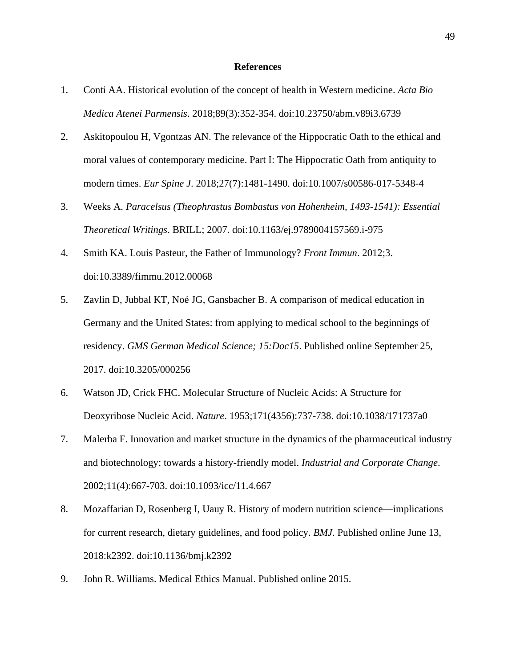#### **References**

- 1. Conti AA. Historical evolution of the concept of health in Western medicine. *Acta Bio Medica Atenei Parmensis*. 2018;89(3):352-354. doi:10.23750/abm.v89i3.6739
- 2. Askitopoulou H, Vgontzas AN. The relevance of the Hippocratic Oath to the ethical and moral values of contemporary medicine. Part I: The Hippocratic Oath from antiquity to modern times. *Eur Spine J*. 2018;27(7):1481-1490. doi:10.1007/s00586-017-5348-4
- 3. Weeks A. *Paracelsus (Theophrastus Bombastus von Hohenheim, 1493-1541): Essential Theoretical Writings*. BRILL; 2007. doi:10.1163/ej.9789004157569.i-975
- 4. Smith KA. Louis Pasteur, the Father of Immunology? *Front Immun*. 2012;3. doi:10.3389/fimmu.2012.00068
- 5. Zavlin D, Jubbal KT, Noé JG, Gansbacher B. A comparison of medical education in Germany and the United States: from applying to medical school to the beginnings of residency. *GMS German Medical Science; 15:Doc15*. Published online September 25, 2017. doi:10.3205/000256
- 6. Watson JD, Crick FHC. Molecular Structure of Nucleic Acids: A Structure for Deoxyribose Nucleic Acid. *Nature*. 1953;171(4356):737-738. doi:10.1038/171737a0
- 7. Malerba F. Innovation and market structure in the dynamics of the pharmaceutical industry and biotechnology: towards a history-friendly model. *Industrial and Corporate Change*. 2002;11(4):667-703. doi:10.1093/icc/11.4.667
- 8. Mozaffarian D, Rosenberg I, Uauy R. History of modern nutrition science—implications for current research, dietary guidelines, and food policy. *BMJ*. Published online June 13, 2018:k2392. doi:10.1136/bmj.k2392
- 9. John R. Williams. Medical Ethics Manual. Published online 2015.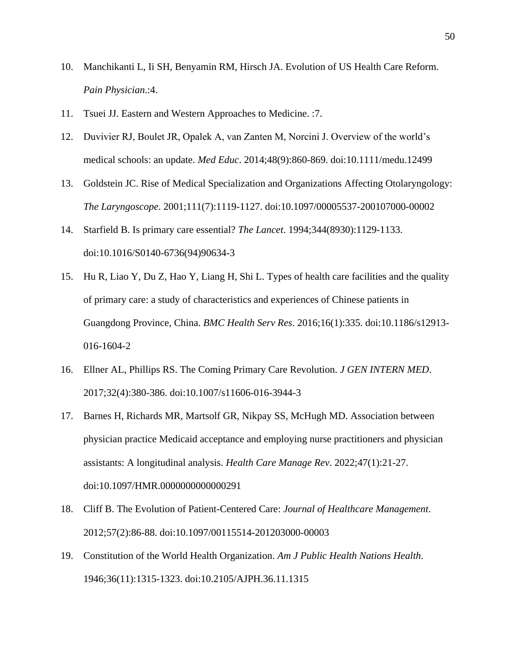- 10. Manchikanti L, Ii SH, Benyamin RM, Hirsch JA. Evolution of US Health Care Reform. *Pain Physician*.:4.
- 11. Tsuei JJ. Eastern and Western Approaches to Medicine. :7.
- 12. Duvivier RJ, Boulet JR, Opalek A, van Zanten M, Norcini J. Overview of the world's medical schools: an update. *Med Educ*. 2014;48(9):860-869. doi:10.1111/medu.12499
- 13. Goldstein JC. Rise of Medical Specialization and Organizations Affecting Otolaryngology: *The Laryngoscope*. 2001;111(7):1119-1127. doi:10.1097/00005537-200107000-00002
- 14. Starfield B. Is primary care essential? *The Lancet*. 1994;344(8930):1129-1133. doi:10.1016/S0140-6736(94)90634-3
- 15. Hu R, Liao Y, Du Z, Hao Y, Liang H, Shi L. Types of health care facilities and the quality of primary care: a study of characteristics and experiences of Chinese patients in Guangdong Province, China. *BMC Health Serv Res*. 2016;16(1):335. doi:10.1186/s12913- 016-1604-2
- 16. Ellner AL, Phillips RS. The Coming Primary Care Revolution. *J GEN INTERN MED*. 2017;32(4):380-386. doi:10.1007/s11606-016-3944-3
- 17. Barnes H, Richards MR, Martsolf GR, Nikpay SS, McHugh MD. Association between physician practice Medicaid acceptance and employing nurse practitioners and physician assistants: A longitudinal analysis. *Health Care Manage Rev*. 2022;47(1):21-27. doi:10.1097/HMR.0000000000000291
- 18. Cliff B. The Evolution of Patient-Centered Care: *Journal of Healthcare Management*. 2012;57(2):86-88. doi:10.1097/00115514-201203000-00003
- 19. Constitution of the World Health Organization. *Am J Public Health Nations Health*. 1946;36(11):1315-1323. doi:10.2105/AJPH.36.11.1315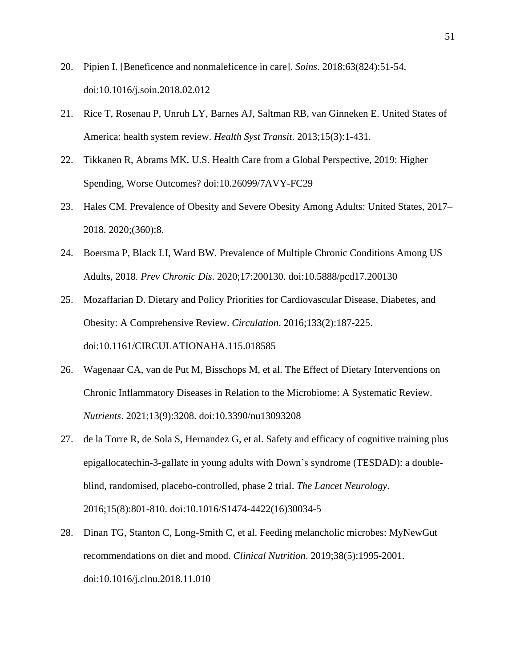- 20. Pipien I. [Beneficence and nonmaleficence in care]. *Soins*. 2018;63(824):51-54. doi:10.1016/j.soin.2018.02.012
- 21. Rice T, Rosenau P, Unruh LY, Barnes AJ, Saltman RB, van Ginneken E. United States of America: health system review. *Health Syst Transit*. 2013;15(3):1-431.
- 22. Tikkanen R, Abrams MK. U.S. Health Care from a Global Perspective, 2019: Higher Spending, Worse Outcomes? doi:10.26099/7AVY-FC29
- 23. Hales CM. Prevalence of Obesity and Severe Obesity Among Adults: United States, 2017– 2018. 2020;(360):8.
- 24. Boersma P, Black LI, Ward BW. Prevalence of Multiple Chronic Conditions Among US Adults, 2018. *Prev Chronic Dis*. 2020;17:200130. doi:10.5888/pcd17.200130
- 25. Mozaffarian D. Dietary and Policy Priorities for Cardiovascular Disease, Diabetes, and Obesity: A Comprehensive Review. *Circulation*. 2016;133(2):187-225. doi:10.1161/CIRCULATIONAHA.115.018585
- 26. Wagenaar CA, van de Put M, Bisschops M, et al. The Effect of Dietary Interventions on Chronic Inflammatory Diseases in Relation to the Microbiome: A Systematic Review. *Nutrients*. 2021;13(9):3208. doi:10.3390/nu13093208
- 27. de la Torre R, de Sola S, Hernandez G, et al. Safety and efficacy of cognitive training plus epigallocatechin-3-gallate in young adults with Down's syndrome (TESDAD): a doubleblind, randomised, placebo-controlled, phase 2 trial. *The Lancet Neurology*. 2016;15(8):801-810. doi:10.1016/S1474-4422(16)30034-5
- 28. Dinan TG, Stanton C, Long-Smith C, et al. Feeding melancholic microbes: MyNewGut recommendations on diet and mood. *Clinical Nutrition*. 2019;38(5):1995-2001. doi:10.1016/j.clnu.2018.11.010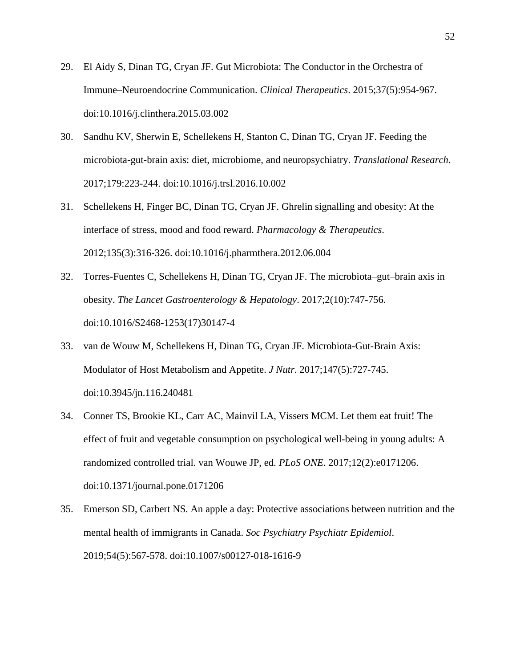- 29. El Aidy S, Dinan TG, Cryan JF. Gut Microbiota: The Conductor in the Orchestra of Immune–Neuroendocrine Communication. *Clinical Therapeutics*. 2015;37(5):954-967. doi:10.1016/j.clinthera.2015.03.002
- 30. Sandhu KV, Sherwin E, Schellekens H, Stanton C, Dinan TG, Cryan JF. Feeding the microbiota-gut-brain axis: diet, microbiome, and neuropsychiatry. *Translational Research*. 2017;179:223-244. doi:10.1016/j.trsl.2016.10.002
- 31. Schellekens H, Finger BC, Dinan TG, Cryan JF. Ghrelin signalling and obesity: At the interface of stress, mood and food reward. *Pharmacology & Therapeutics*. 2012;135(3):316-326. doi:10.1016/j.pharmthera.2012.06.004
- 32. Torres-Fuentes C, Schellekens H, Dinan TG, Cryan JF. The microbiota–gut–brain axis in obesity. *The Lancet Gastroenterology & Hepatology*. 2017;2(10):747-756. doi:10.1016/S2468-1253(17)30147-4
- 33. van de Wouw M, Schellekens H, Dinan TG, Cryan JF. Microbiota-Gut-Brain Axis: Modulator of Host Metabolism and Appetite. *J Nutr*. 2017;147(5):727-745. doi:10.3945/jn.116.240481
- 34. Conner TS, Brookie KL, Carr AC, Mainvil LA, Vissers MCM. Let them eat fruit! The effect of fruit and vegetable consumption on psychological well-being in young adults: A randomized controlled trial. van Wouwe JP, ed. *PLoS ONE*. 2017;12(2):e0171206. doi:10.1371/journal.pone.0171206
- 35. Emerson SD, Carbert NS. An apple a day: Protective associations between nutrition and the mental health of immigrants in Canada. *Soc Psychiatry Psychiatr Epidemiol*. 2019;54(5):567-578. doi:10.1007/s00127-018-1616-9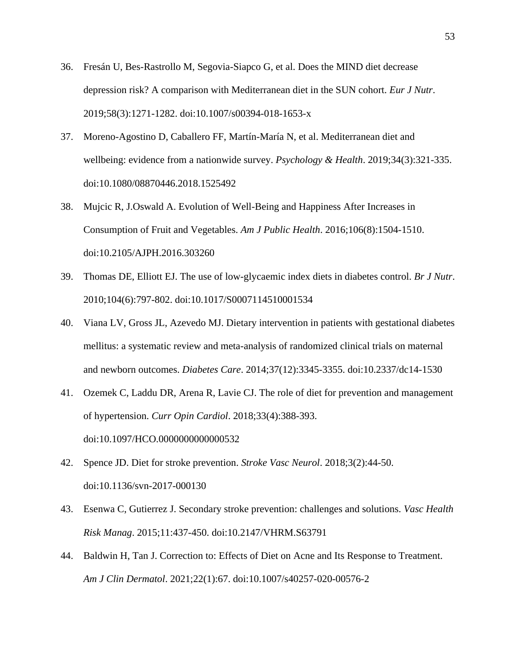- 36. Fresán U, Bes-Rastrollo M, Segovia-Siapco G, et al. Does the MIND diet decrease depression risk? A comparison with Mediterranean diet in the SUN cohort. *Eur J Nutr*. 2019;58(3):1271-1282. doi:10.1007/s00394-018-1653-x
- 37. Moreno-Agostino D, Caballero FF, Martín-María N, et al. Mediterranean diet and wellbeing: evidence from a nationwide survey. *Psychology & Health*. 2019;34(3):321-335. doi:10.1080/08870446.2018.1525492
- 38. Mujcic R, J.Oswald A. Evolution of Well-Being and Happiness After Increases in Consumption of Fruit and Vegetables. *Am J Public Health*. 2016;106(8):1504-1510. doi:10.2105/AJPH.2016.303260
- 39. Thomas DE, Elliott EJ. The use of low-glycaemic index diets in diabetes control. *Br J Nutr*. 2010;104(6):797-802. doi:10.1017/S0007114510001534
- 40. Viana LV, Gross JL, Azevedo MJ. Dietary intervention in patients with gestational diabetes mellitus: a systematic review and meta-analysis of randomized clinical trials on maternal and newborn outcomes. *Diabetes Care*. 2014;37(12):3345-3355. doi:10.2337/dc14-1530
- 41. Ozemek C, Laddu DR, Arena R, Lavie CJ. The role of diet for prevention and management of hypertension. *Curr Opin Cardiol*. 2018;33(4):388-393. doi:10.1097/HCO.0000000000000532
- 42. Spence JD. Diet for stroke prevention. *Stroke Vasc Neurol*. 2018;3(2):44-50. doi:10.1136/svn-2017-000130
- 43. Esenwa C, Gutierrez J. Secondary stroke prevention: challenges and solutions. *Vasc Health Risk Manag*. 2015;11:437-450. doi:10.2147/VHRM.S63791
- 44. Baldwin H, Tan J. Correction to: Effects of Diet on Acne and Its Response to Treatment. *Am J Clin Dermatol*. 2021;22(1):67. doi:10.1007/s40257-020-00576-2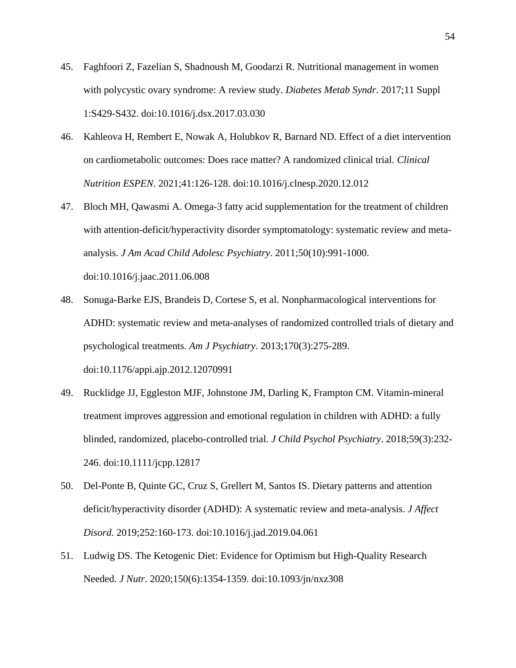- 45. Faghfoori Z, Fazelian S, Shadnoush M, Goodarzi R. Nutritional management in women with polycystic ovary syndrome: A review study. *Diabetes Metab Syndr*. 2017;11 Suppl 1:S429-S432. doi:10.1016/j.dsx.2017.03.030
- 46. Kahleova H, Rembert E, Nowak A, Holubkov R, Barnard ND. Effect of a diet intervention on cardiometabolic outcomes: Does race matter? A randomized clinical trial. *Clinical Nutrition ESPEN*. 2021;41:126-128. doi:10.1016/j.clnesp.2020.12.012
- 47. Bloch MH, Qawasmi A. Omega-3 fatty acid supplementation for the treatment of children with attention-deficit/hyperactivity disorder symptomatology: systematic review and metaanalysis. *J Am Acad Child Adolesc Psychiatry*. 2011;50(10):991-1000. doi:10.1016/j.jaac.2011.06.008
- 48. Sonuga-Barke EJS, Brandeis D, Cortese S, et al. Nonpharmacological interventions for ADHD: systematic review and meta-analyses of randomized controlled trials of dietary and psychological treatments. *Am J Psychiatry*. 2013;170(3):275-289. doi:10.1176/appi.ajp.2012.12070991
- 49. Rucklidge JJ, Eggleston MJF, Johnstone JM, Darling K, Frampton CM. Vitamin-mineral treatment improves aggression and emotional regulation in children with ADHD: a fully blinded, randomized, placebo-controlled trial. *J Child Psychol Psychiatry*. 2018;59(3):232- 246. doi:10.1111/jcpp.12817
- 50. Del-Ponte B, Quinte GC, Cruz S, Grellert M, Santos IS. Dietary patterns and attention deficit/hyperactivity disorder (ADHD): A systematic review and meta-analysis. *J Affect Disord*. 2019;252:160-173. doi:10.1016/j.jad.2019.04.061
- 51. Ludwig DS. The Ketogenic Diet: Evidence for Optimism but High-Quality Research Needed. *J Nutr*. 2020;150(6):1354-1359. doi:10.1093/jn/nxz308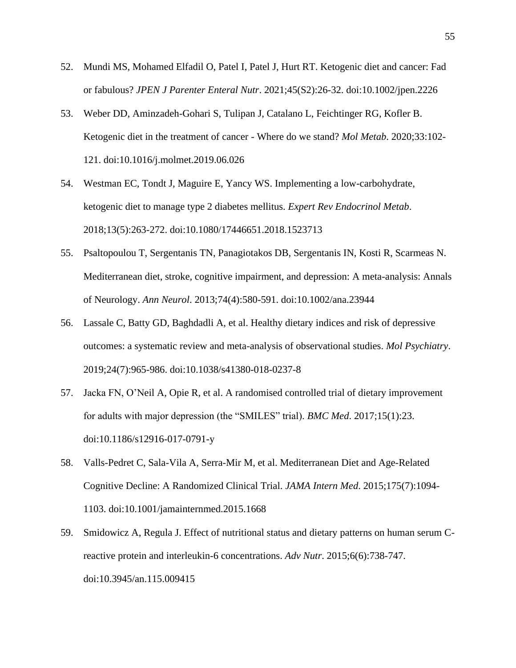- 52. Mundi MS, Mohamed Elfadil O, Patel I, Patel J, Hurt RT. Ketogenic diet and cancer: Fad or fabulous? *JPEN J Parenter Enteral Nutr*. 2021;45(S2):26-32. doi:10.1002/jpen.2226
- 53. Weber DD, Aminzadeh-Gohari S, Tulipan J, Catalano L, Feichtinger RG, Kofler B. Ketogenic diet in the treatment of cancer - Where do we stand? *Mol Metab*. 2020;33:102- 121. doi:10.1016/j.molmet.2019.06.026
- 54. Westman EC, Tondt J, Maguire E, Yancy WS. Implementing a low-carbohydrate, ketogenic diet to manage type 2 diabetes mellitus. *Expert Rev Endocrinol Metab*. 2018;13(5):263-272. doi:10.1080/17446651.2018.1523713
- 55. Psaltopoulou T, Sergentanis TN, Panagiotakos DB, Sergentanis IN, Kosti R, Scarmeas N. Mediterranean diet, stroke, cognitive impairment, and depression: A meta-analysis: Annals of Neurology. *Ann Neurol*. 2013;74(4):580-591. doi:10.1002/ana.23944
- 56. Lassale C, Batty GD, Baghdadli A, et al. Healthy dietary indices and risk of depressive outcomes: a systematic review and meta-analysis of observational studies. *Mol Psychiatry*. 2019;24(7):965-986. doi:10.1038/s41380-018-0237-8
- 57. Jacka FN, O'Neil A, Opie R, et al. A randomised controlled trial of dietary improvement for adults with major depression (the "SMILES" trial). *BMC Med*. 2017;15(1):23. doi:10.1186/s12916-017-0791-y
- 58. Valls-Pedret C, Sala-Vila A, Serra-Mir M, et al. Mediterranean Diet and Age-Related Cognitive Decline: A Randomized Clinical Trial. *JAMA Intern Med*. 2015;175(7):1094- 1103. doi:10.1001/jamainternmed.2015.1668
- 59. Smidowicz A, Regula J. Effect of nutritional status and dietary patterns on human serum Creactive protein and interleukin-6 concentrations. *Adv Nutr*. 2015;6(6):738-747. doi:10.3945/an.115.009415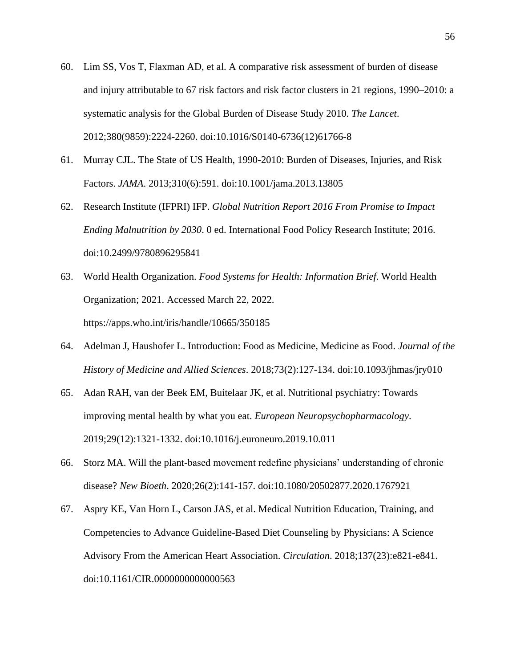- 60. Lim SS, Vos T, Flaxman AD, et al. A comparative risk assessment of burden of disease and injury attributable to 67 risk factors and risk factor clusters in 21 regions, 1990–2010: a systematic analysis for the Global Burden of Disease Study 2010. *The Lancet*. 2012;380(9859):2224-2260. doi:10.1016/S0140-6736(12)61766-8
- 61. Murray CJL. The State of US Health, 1990-2010: Burden of Diseases, Injuries, and Risk Factors. *JAMA*. 2013;310(6):591. doi:10.1001/jama.2013.13805
- 62. Research Institute (IFPRI) IFP. *Global Nutrition Report 2016 From Promise to Impact Ending Malnutrition by 2030*. 0 ed. International Food Policy Research Institute; 2016. doi:10.2499/9780896295841
- 63. World Health Organization. *Food Systems for Health: Information Brief*. World Health Organization; 2021. Accessed March 22, 2022. https://apps.who.int/iris/handle/10665/350185
- 64. Adelman J, Haushofer L. Introduction: Food as Medicine, Medicine as Food. *Journal of the History of Medicine and Allied Sciences*. 2018;73(2):127-134. doi:10.1093/jhmas/jry010
- 65. Adan RAH, van der Beek EM, Buitelaar JK, et al. Nutritional psychiatry: Towards improving mental health by what you eat. *European Neuropsychopharmacology*. 2019;29(12):1321-1332. doi:10.1016/j.euroneuro.2019.10.011
- 66. Storz MA. Will the plant-based movement redefine physicians' understanding of chronic disease? *New Bioeth*. 2020;26(2):141-157. doi:10.1080/20502877.2020.1767921
- 67. Aspry KE, Van Horn L, Carson JAS, et al. Medical Nutrition Education, Training, and Competencies to Advance Guideline-Based Diet Counseling by Physicians: A Science Advisory From the American Heart Association. *Circulation*. 2018;137(23):e821-e841. doi:10.1161/CIR.0000000000000563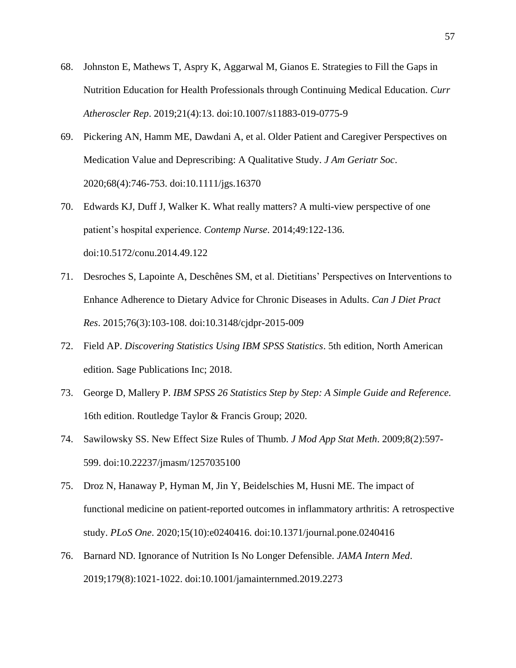- 68. Johnston E, Mathews T, Aspry K, Aggarwal M, Gianos E. Strategies to Fill the Gaps in Nutrition Education for Health Professionals through Continuing Medical Education. *Curr Atheroscler Rep*. 2019;21(4):13. doi:10.1007/s11883-019-0775-9
- 69. Pickering AN, Hamm ME, Dawdani A, et al. Older Patient and Caregiver Perspectives on Medication Value and Deprescribing: A Qualitative Study. *J Am Geriatr Soc*. 2020;68(4):746-753. doi:10.1111/jgs.16370
- 70. Edwards KJ, Duff J, Walker K. What really matters? A multi-view perspective of one patient's hospital experience. *Contemp Nurse*. 2014;49:122-136. doi:10.5172/conu.2014.49.122
- 71. Desroches S, Lapointe A, Deschênes SM, et al. Dietitians' Perspectives on Interventions to Enhance Adherence to Dietary Advice for Chronic Diseases in Adults. *Can J Diet Pract Res*. 2015;76(3):103-108. doi:10.3148/cjdpr-2015-009
- 72. Field AP. *Discovering Statistics Using IBM SPSS Statistics*. 5th edition, North American edition. Sage Publications Inc; 2018.
- 73. George D, Mallery P. *IBM SPSS 26 Statistics Step by Step: A Simple Guide and Reference.* 16th edition. Routledge Taylor & Francis Group; 2020.
- 74. Sawilowsky SS. New Effect Size Rules of Thumb. *J Mod App Stat Meth*. 2009;8(2):597- 599. doi:10.22237/jmasm/1257035100
- 75. Droz N, Hanaway P, Hyman M, Jin Y, Beidelschies M, Husni ME. The impact of functional medicine on patient-reported outcomes in inflammatory arthritis: A retrospective study. *PLoS One*. 2020;15(10):e0240416. doi:10.1371/journal.pone.0240416
- 76. Barnard ND. Ignorance of Nutrition Is No Longer Defensible. *JAMA Intern Med*. 2019;179(8):1021-1022. doi:10.1001/jamainternmed.2019.2273